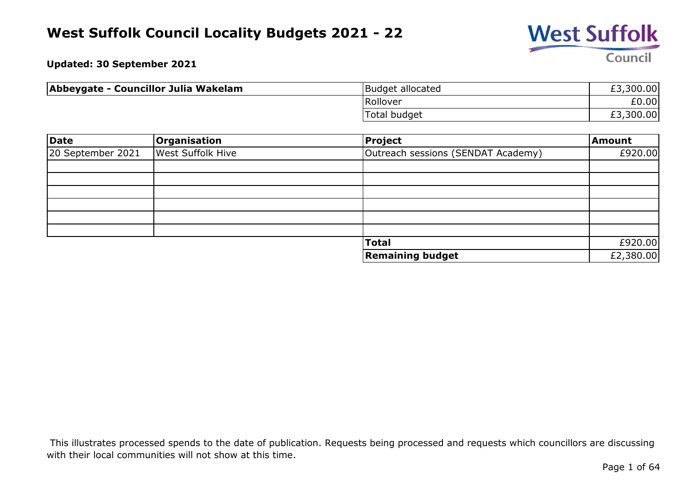

**Updated: 30 September 2021**

| Abbeygate - Councillor Julia Wakelam | Budget allocated    | £3,300.00 |
|--------------------------------------|---------------------|-----------|
|                                      | Rollover            | £0.00     |
|                                      | <b>Total budget</b> | £3,300.00 |

| Date              | Organisation             | Project                            | Amount    |
|-------------------|--------------------------|------------------------------------|-----------|
| 20 September 2021 | <b>West Suffolk Hive</b> | Outreach sessions (SENDAT Academy) | £920.00   |
|                   |                          |                                    |           |
|                   |                          |                                    |           |
|                   |                          |                                    |           |
|                   |                          |                                    |           |
|                   |                          |                                    |           |
|                   |                          |                                    |           |
|                   |                          | <b>Total</b>                       | £920.00   |
|                   |                          | <b>Remaining budget</b>            | £2,380.00 |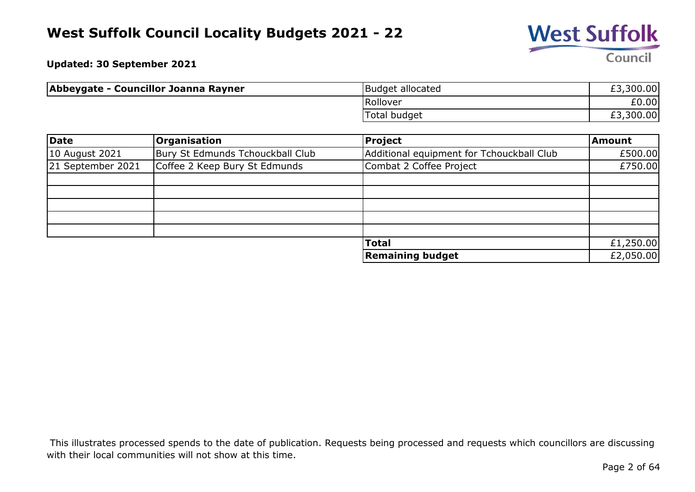

**Updated: 30 September 2021**

| Abbeygate - Councillor Joanna Rayner | Budget allocated    | £3,300.00 |
|--------------------------------------|---------------------|-----------|
|                                      | Rollover            | £0.00     |
|                                      | <b>Total budget</b> | £3,300.00 |

| Date              | <b>Organisation</b>              | <b>Project</b>                            | <b>Amount</b> |
|-------------------|----------------------------------|-------------------------------------------|---------------|
| 10 August 2021    | Bury St Edmunds Tchouckball Club | Additional equipment for Tchouckball Club | £500.00       |
| 21 September 2021 | Coffee 2 Keep Bury St Edmunds    | Combat 2 Coffee Project                   | £750.00       |
|                   |                                  |                                           |               |
|                   |                                  |                                           |               |
|                   |                                  |                                           |               |
|                   |                                  |                                           |               |
|                   |                                  |                                           |               |
|                   |                                  | <b>Total</b>                              | £1,250.00     |
|                   |                                  | <b>Remaining budget</b>                   | £2,050.00     |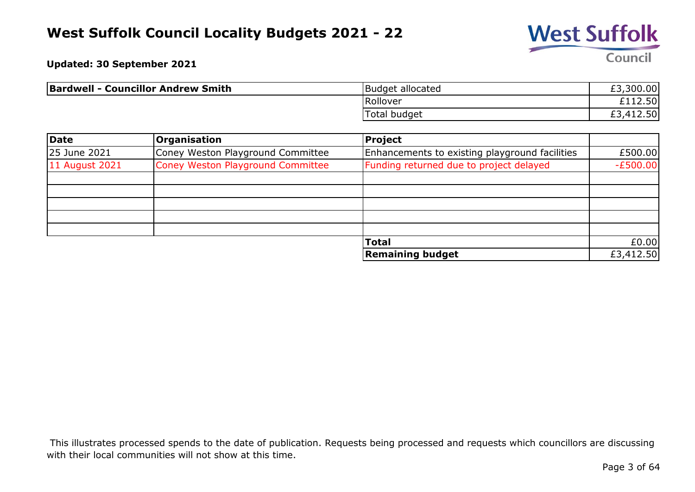

**Updated: 30 September 2021**

| <b>Bardwell - Councillor Andrew Smith</b> | Budget allocated | £3,300.00                                 |
|-------------------------------------------|------------------|-------------------------------------------|
|                                           | Rollover         | £112.50                                   |
|                                           | Total budget     | 412.50<br>ົາ<br>$\mathbf{\Lambda}$<br>ŁJ. |

| Date           | <b>Organisation</b>               | <b>Project</b>                                 |            |
|----------------|-----------------------------------|------------------------------------------------|------------|
| 25 June 2021   | Coney Weston Playground Committee | Enhancements to existing playground facilities | £500.00    |
| 11 August 2021 | Coney Weston Playground Committee | Funding returned due to project delayed        | $-E500.00$ |
|                |                                   |                                                |            |
|                |                                   |                                                |            |
|                |                                   |                                                |            |
|                |                                   |                                                |            |
|                |                                   |                                                |            |
|                |                                   | <b>Total</b>                                   | £0.00      |
|                |                                   | <b>Remaining budget</b>                        | £3,412.50  |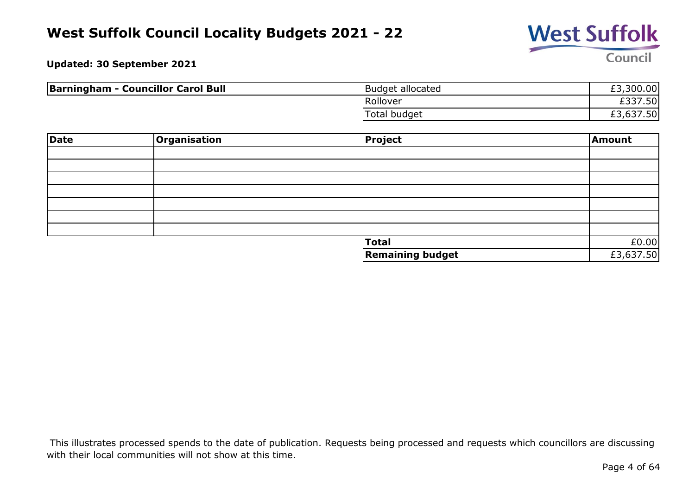

**Updated: 30 September 2021**

| <b>Barningham - Councillor Carol Bull</b> | Budget allocated | £3,300.00 |
|-------------------------------------------|------------------|-----------|
|                                           | Rollover         | £337.50   |
|                                           | Total budget     | £3,637.50 |

| Date | Organisation | Project                 | Amount    |
|------|--------------|-------------------------|-----------|
|      |              |                         |           |
|      |              |                         |           |
|      |              |                         |           |
|      |              |                         |           |
|      |              |                         |           |
|      |              |                         |           |
|      |              |                         |           |
|      |              | <b>Total</b>            | £0.00     |
|      |              | <b>Remaining budget</b> | £3,637.50 |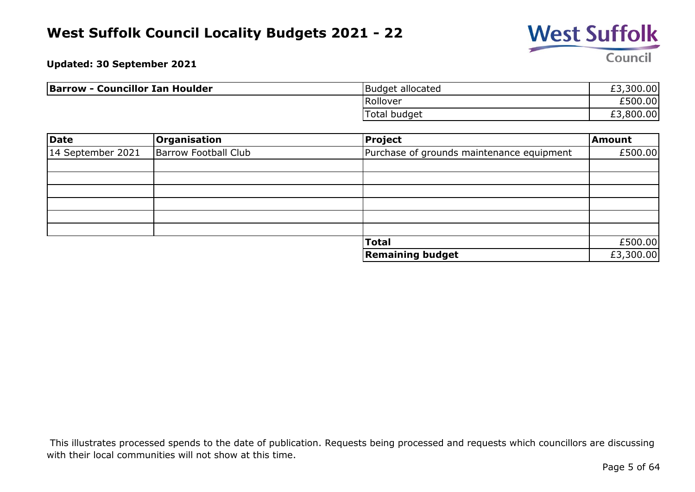

**Updated: 30 September 2021**

| <b>Barrow - Councillor Ian Houlder</b> | Budget allocated | £3,300.00 |
|----------------------------------------|------------------|-----------|
|                                        | Rollover         | £500.00   |
|                                        | Total budget     | £3,800.00 |

| Date              | Organisation                | <b>Project</b>                            | Amount    |
|-------------------|-----------------------------|-------------------------------------------|-----------|
| 14 September 2021 | <b>Barrow Football Club</b> | Purchase of grounds maintenance equipment | £500.00   |
|                   |                             |                                           |           |
|                   |                             |                                           |           |
|                   |                             |                                           |           |
|                   |                             |                                           |           |
|                   |                             |                                           |           |
|                   |                             |                                           |           |
|                   |                             | <b>Total</b>                              | £500.00   |
|                   |                             | <b>Remaining budget</b>                   | £3,300.00 |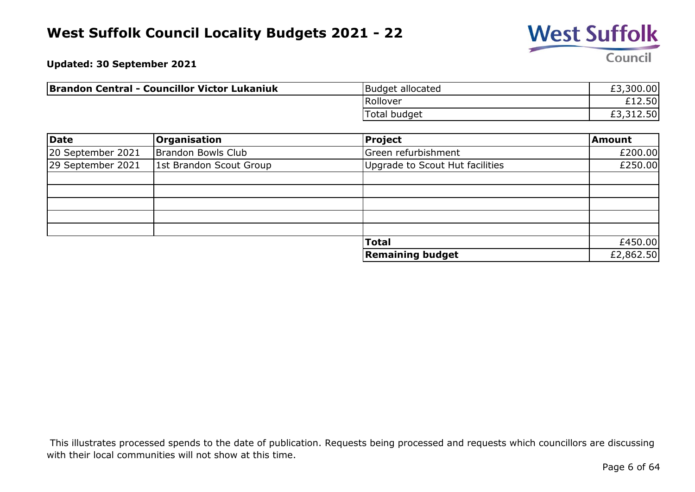

**Updated: 30 September 2021**

| <b>Brandon Central - Councillor Victor Lukaniuk</b> | Budget allocated    | £3,300.00 |
|-----------------------------------------------------|---------------------|-----------|
|                                                     | Rollover            | £12.50    |
|                                                     | <b>Total budget</b> | £3,312.50 |

| Date              | <b>Organisation</b>     | Project                         | Amount    |
|-------------------|-------------------------|---------------------------------|-----------|
| 20 September 2021 | Brandon Bowls Club      | Green refurbishment             | £200.00   |
| 29 September 2021 | 1st Brandon Scout Group | Upgrade to Scout Hut facilities | £250.00   |
|                   |                         |                                 |           |
|                   |                         |                                 |           |
|                   |                         |                                 |           |
|                   |                         |                                 |           |
|                   |                         |                                 |           |
|                   |                         | <b>Total</b>                    | £450.00   |
|                   |                         | <b>Remaining budget</b>         | £2,862.50 |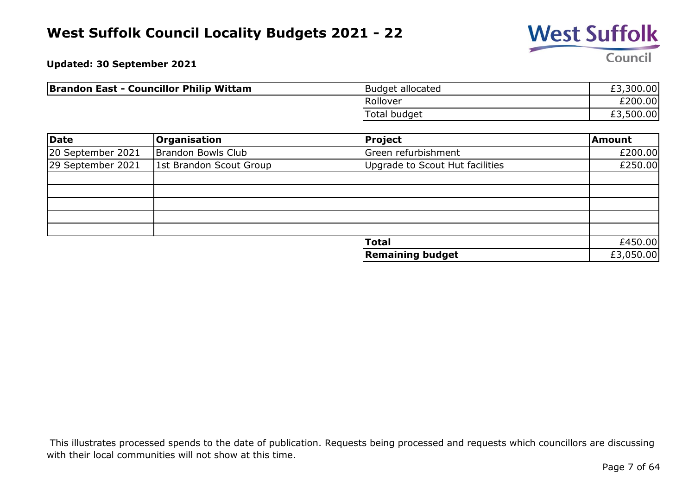

**Updated: 30 September 2021**

| <b>Brandon East - Councillor Philip Wittam</b> | Budget allocated | £3,300.00 |
|------------------------------------------------|------------------|-----------|
|                                                | Rollover         | £200.00   |
|                                                | Total budget     | £3,500.00 |

| Date              | <b>Organisation</b>     | <b>Project</b>                  | <b>Amount</b> |
|-------------------|-------------------------|---------------------------------|---------------|
| 20 September 2021 | Brandon Bowls Club      | Green refurbishment             | £200.00       |
| 29 September 2021 | 1st Brandon Scout Group | Upgrade to Scout Hut facilities | £250.00       |
|                   |                         |                                 |               |
|                   |                         |                                 |               |
|                   |                         |                                 |               |
|                   |                         |                                 |               |
|                   |                         |                                 |               |
|                   |                         | <b>Total</b>                    | £450.00       |
|                   |                         | <b>Remaining budget</b>         | £3,050.00     |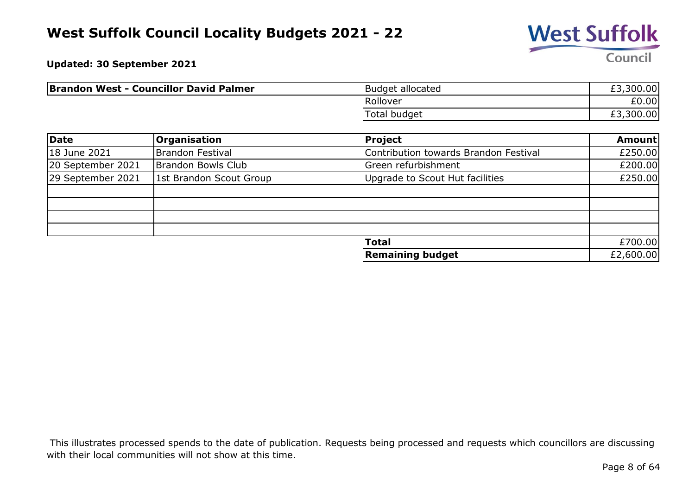

**Updated: 30 September 2021**

| <b>Brandon West - Councillor David Palmer</b> | Budget allocated                         | £3,300.00 |
|-----------------------------------------------|------------------------------------------|-----------|
|                                               | Rollover                                 | £0.00     |
|                                               | $\overline{\phantom{0}}$<br>Total budget | £3,300.00 |

| Date              | <b>Organisation</b>     | <b>Project</b>                        | Amount    |
|-------------------|-------------------------|---------------------------------------|-----------|
| 18 June 2021      | Brandon Festival        | Contribution towards Brandon Festival | £250.00   |
| 20 September 2021 | Brandon Bowls Club      | Green refurbishment                   | £200.00   |
| 29 September 2021 | 1st Brandon Scout Group | Upgrade to Scout Hut facilities       | £250.00   |
|                   |                         |                                       |           |
|                   |                         |                                       |           |
|                   |                         |                                       |           |
|                   |                         |                                       |           |
|                   |                         | <b>Total</b>                          | £700.00   |
|                   |                         | <b>Remaining budget</b>               | £2,600.00 |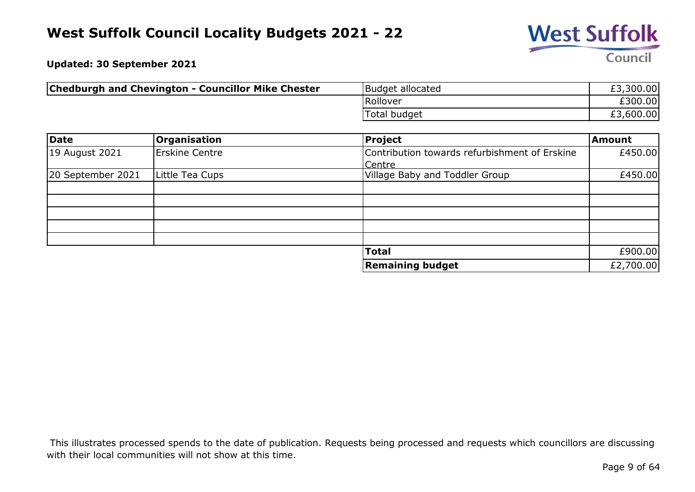

**Updated: 30 September 2021**

| <b>Chedburgh and Chevington - Councillor Mike Chester</b> | Budget allocated | £3,300.00 |
|-----------------------------------------------------------|------------------|-----------|
|                                                           | Rollover         | £300.00   |
|                                                           | 'Total budget    | £3,600.00 |

| Date              | <b>Organisation</b>   | <b>Project</b>                                | <b>Amount</b> |
|-------------------|-----------------------|-----------------------------------------------|---------------|
| 19 August 2021    | <b>Erskine Centre</b> | Contribution towards refurbishment of Erskine | £450.00       |
|                   |                       | Centre                                        |               |
| 20 September 2021 | Little Tea Cups       | Village Baby and Toddler Group                | £450.00       |
|                   |                       |                                               |               |
|                   |                       |                                               |               |
|                   |                       |                                               |               |
|                   |                       |                                               |               |
|                   |                       |                                               |               |
|                   |                       | <b>Total</b>                                  | £900.00       |
|                   |                       | <b>Remaining budget</b>                       | £2,700.00     |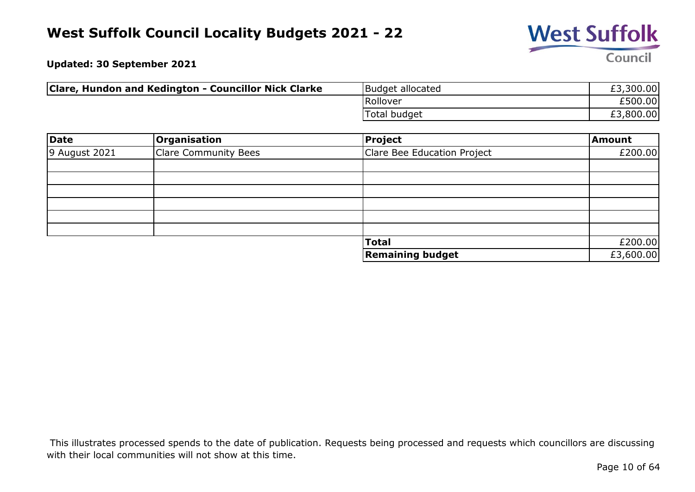

**Updated: 30 September 2021**

| Clare, Hundon and Kedington - Councillor Nick Clarke | Budget allocated | £3,300.00 |
|------------------------------------------------------|------------------|-----------|
|                                                      | Rollover         | £500.00   |
|                                                      | Total budget     | £3,800.00 |

| <b>Date</b>   | Organisation                | Project                     | Amount    |
|---------------|-----------------------------|-----------------------------|-----------|
| 9 August 2021 | <b>Clare Community Bees</b> | Clare Bee Education Project | £200.00   |
|               |                             |                             |           |
|               |                             |                             |           |
|               |                             |                             |           |
|               |                             |                             |           |
|               |                             |                             |           |
|               |                             |                             |           |
|               |                             | <b>Total</b>                | £200.00   |
|               |                             | <b>Remaining budget</b>     | £3,600.00 |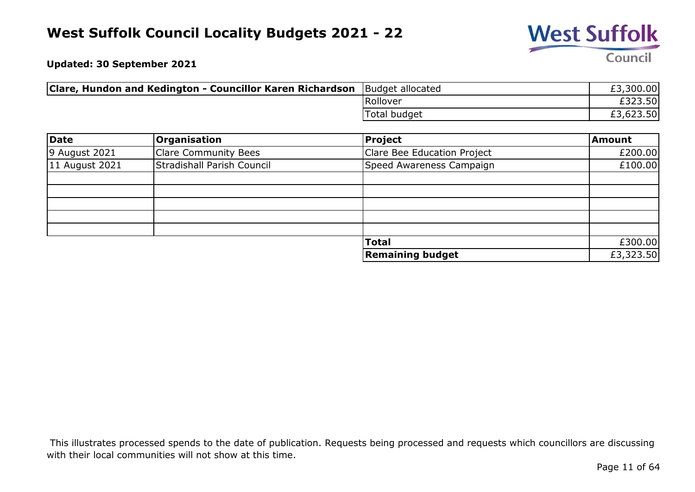

**Updated: 30 September 2021**

| <b>Clare, Hundon and Kedington - Councillor Karen Richardson</b> Budget allocated |               | £3,300.00 |
|-----------------------------------------------------------------------------------|---------------|-----------|
|                                                                                   | Rollover      | £323.50   |
|                                                                                   | 'Total budget | £3,623.50 |

| Date           | Organisation               | <b>Project</b>              | Amount    |
|----------------|----------------------------|-----------------------------|-----------|
| 9 August 2021  | Clare Community Bees       | Clare Bee Education Project | £200.00   |
| 11 August 2021 | Stradishall Parish Council | Speed Awareness Campaign    | £100.00   |
|                |                            |                             |           |
|                |                            |                             |           |
|                |                            |                             |           |
|                |                            |                             |           |
|                |                            |                             |           |
|                |                            | <b>Total</b>                | £300.00   |
|                |                            | <b>Remaining budget</b>     | £3,323.50 |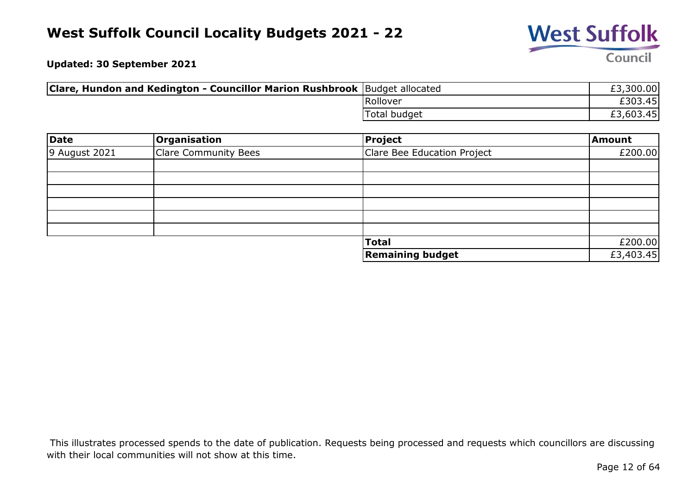

**Updated: 30 September 2021**

| <b>Clare, Hundon and Kedington - Councillor Marion Rushbrook</b> Budget allocated |                     | £3,300.00 |
|-----------------------------------------------------------------------------------|---------------------|-----------|
|                                                                                   | Rollover            | £303.45   |
|                                                                                   | <b>Total budget</b> | £3,603.45 |

| <b>Date</b>   | <b>Organisation</b>  | Project                     | Amount    |
|---------------|----------------------|-----------------------------|-----------|
| 9 August 2021 | Clare Community Bees | Clare Bee Education Project | £200.00   |
|               |                      |                             |           |
|               |                      |                             |           |
|               |                      |                             |           |
|               |                      |                             |           |
|               |                      |                             |           |
|               |                      |                             |           |
|               |                      | <b>Total</b>                | £200.00   |
|               |                      | <b>Remaining budget</b>     | £3,403.45 |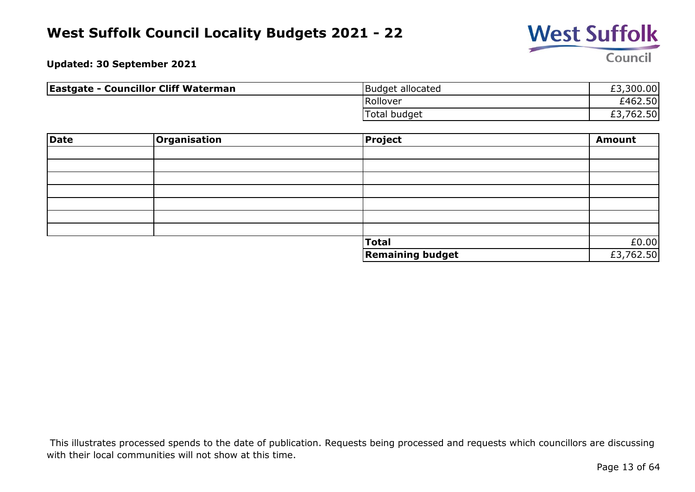

**Updated: 30 September 2021**

| <b>Eastgate - Councillor Cliff Waterman</b> | Budget allocated    | £3,300.00       |
|---------------------------------------------|---------------------|-----------------|
|                                             | Rollover            | £462.50         |
|                                             | <b>Total budget</b> | ,762.50 <br>ΣJ. |

| Date | <b>Organisation</b> | Project                 | <b>Amount</b> |
|------|---------------------|-------------------------|---------------|
|      |                     |                         |               |
|      |                     |                         |               |
|      |                     |                         |               |
|      |                     |                         |               |
|      |                     |                         |               |
|      |                     |                         |               |
|      |                     |                         |               |
|      |                     | Total                   | £0.00         |
|      |                     | <b>Remaining budget</b> | £3,762.50     |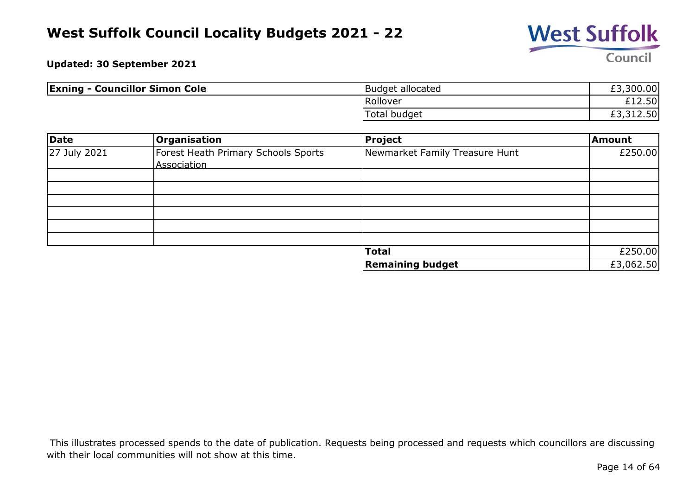

**Updated: 30 September 2021**

| <b>Exning - Councillor Simon Cole</b> | Budget allocated | £3,300.00      |
|---------------------------------------|------------------|----------------|
|                                       | Rollover         | £12.50         |
|                                       | Total budget     | '12.50, د<br>້ |

| Date         | <b>Organisation</b>                 | Project                        | Amount    |
|--------------|-------------------------------------|--------------------------------|-----------|
| 27 July 2021 | Forest Heath Primary Schools Sports | Newmarket Family Treasure Hunt | £250.00   |
|              | Association                         |                                |           |
|              |                                     |                                |           |
|              |                                     |                                |           |
|              |                                     |                                |           |
|              |                                     |                                |           |
|              |                                     |                                |           |
|              |                                     |                                |           |
|              |                                     | <b>Total</b>                   | £250.00   |
|              |                                     | <b>Remaining budget</b>        | £3,062.50 |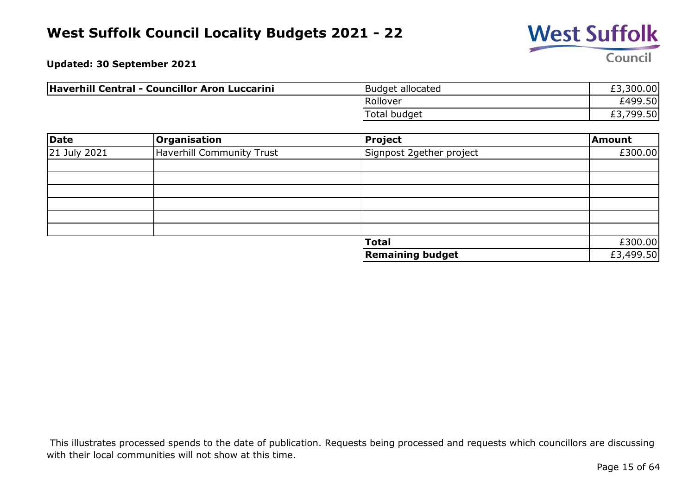

**Updated: 30 September 2021**

| Haverhill Central - Councillor Aron Luccarini | Budget allocated | £3,300.00 |
|-----------------------------------------------|------------------|-----------|
|                                               | Rollover         | £499.50   |
|                                               | Total budget     | £3,799.50 |

| Date         | Organisation                     | Project                  | <b>Amount</b> |
|--------------|----------------------------------|--------------------------|---------------|
| 21 July 2021 | <b>Haverhill Community Trust</b> | Signpost 2gether project | £300.00       |
|              |                                  |                          |               |
|              |                                  |                          |               |
|              |                                  |                          |               |
|              |                                  |                          |               |
|              |                                  |                          |               |
|              |                                  |                          |               |
|              |                                  | <b>Total</b>             | £300.00       |
|              |                                  | <b>Remaining budget</b>  | £3,499.50     |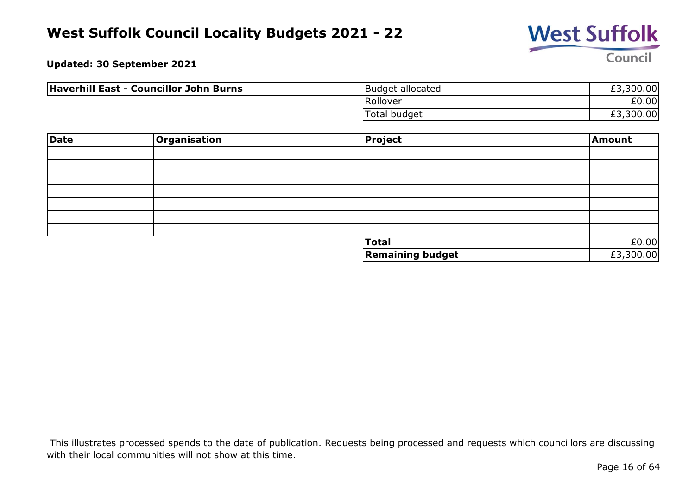

**Updated: 30 September 2021**

| Haverhill East - Councillor John Burns | Budget allocated    | £3,300.00 |
|----------------------------------------|---------------------|-----------|
|                                        | Rollover            | £0.00     |
|                                        | <b>Total budget</b> | £3,300.00 |

| Date | Organisation | Project                 | Amount    |
|------|--------------|-------------------------|-----------|
|      |              |                         |           |
|      |              |                         |           |
|      |              |                         |           |
|      |              |                         |           |
|      |              |                         |           |
|      |              |                         |           |
|      |              |                         |           |
|      |              | <b>Total</b>            | £0.00     |
|      |              | <b>Remaining budget</b> | £3,300.00 |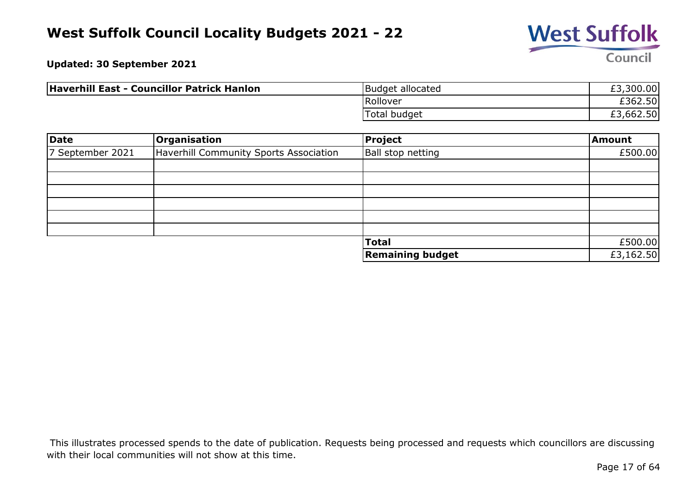

**Updated: 30 September 2021**

| Haverhill East - Councillor Patrick Hanlon | Budget allocated | £3,300.00 |
|--------------------------------------------|------------------|-----------|
|                                            | Rollover         | £362.50   |
|                                            | Total budget     | £3,662.50 |

| Date             | <b>Organisation</b>                    | <b>Project</b>          | Amount    |
|------------------|----------------------------------------|-------------------------|-----------|
| 7 September 2021 | Haverhill Community Sports Association | Ball stop netting       | £500.00   |
|                  |                                        |                         |           |
|                  |                                        |                         |           |
|                  |                                        |                         |           |
|                  |                                        |                         |           |
|                  |                                        |                         |           |
|                  |                                        |                         |           |
|                  |                                        | <b>Total</b>            | £500.00   |
|                  |                                        | <b>Remaining budget</b> | £3,162.50 |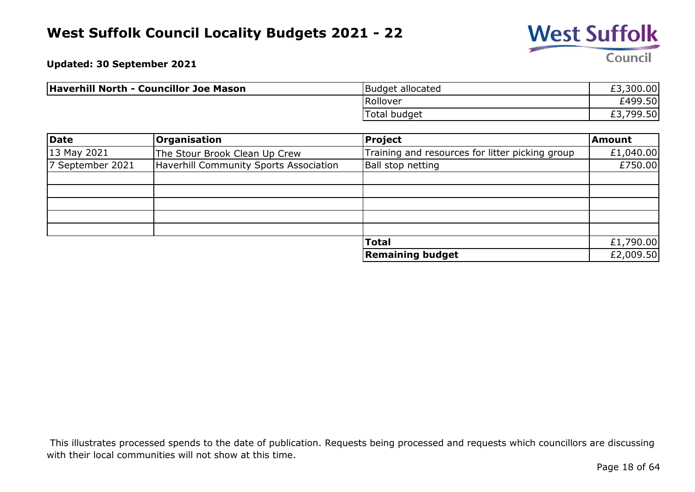

**Updated: 30 September 2021**

| Haverhill North - Councillor Joe Mason | Budget allocated | £3,300.00 |
|----------------------------------------|------------------|-----------|
|                                        | Rollover         | £499.50   |
|                                        | Total budget     | £3,799.50 |

| Date             | <b>Organisation</b>                    | Project                                         | <b>Amount</b> |
|------------------|----------------------------------------|-------------------------------------------------|---------------|
| 13 May 2021      | The Stour Brook Clean Up Crew          | Training and resources for litter picking group | £1,040.00     |
| 7 September 2021 | Haverhill Community Sports Association | Ball stop netting                               | £750.00       |
|                  |                                        |                                                 |               |
|                  |                                        |                                                 |               |
|                  |                                        |                                                 |               |
|                  |                                        |                                                 |               |
|                  |                                        |                                                 |               |
|                  |                                        | <b>Total</b>                                    | £1,790.00     |
|                  |                                        | Remaining budget                                | £2,009.50     |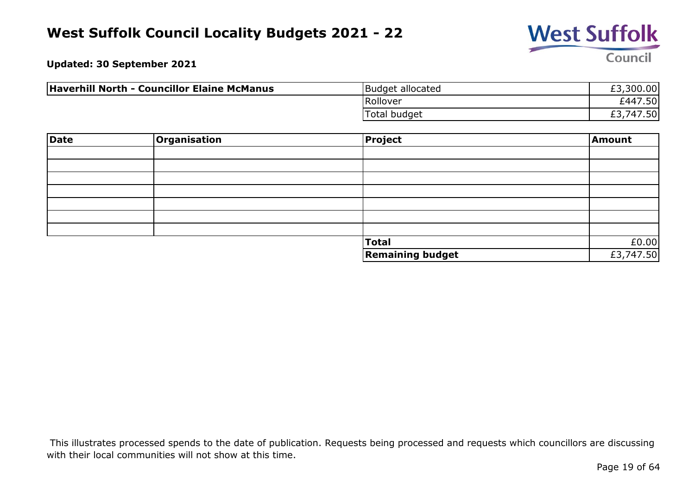

**Updated: 30 September 2021**

| Haverhill North - Councillor Elaine McManus | Budget allocated | £3,300.00              |
|---------------------------------------------|------------------|------------------------|
|                                             | Rollover         | £447.50                |
|                                             | Total budget     | ,747.50 $\mid$<br>LJ./ |

| Date | <b>Organisation</b> | <b>Project</b>          | Amount    |
|------|---------------------|-------------------------|-----------|
|      |                     |                         |           |
|      |                     |                         |           |
|      |                     |                         |           |
|      |                     |                         |           |
|      |                     |                         |           |
|      |                     |                         |           |
|      |                     |                         |           |
|      |                     | <b>Total</b>            | £0.00     |
|      |                     | <b>Remaining budget</b> | £3,747.50 |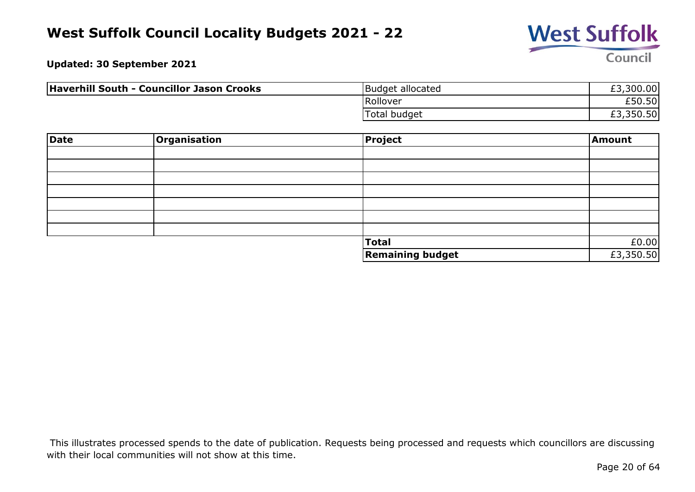

**Updated: 30 September 2021**

| Haverhill South - Councillor Jason Crooks | Budget allocated    | £3,300.00 |
|-------------------------------------------|---------------------|-----------|
|                                           | Rollover            | £50.50    |
|                                           | <b>Total budget</b> | £3,350.50 |

| Date | Organisation | <b>Project</b>          | Amount    |
|------|--------------|-------------------------|-----------|
|      |              |                         |           |
|      |              |                         |           |
|      |              |                         |           |
|      |              |                         |           |
|      |              |                         |           |
|      |              |                         |           |
|      |              |                         |           |
|      |              | <b>Total</b>            | £0.00     |
|      |              | <b>Remaining budget</b> | £3,350.50 |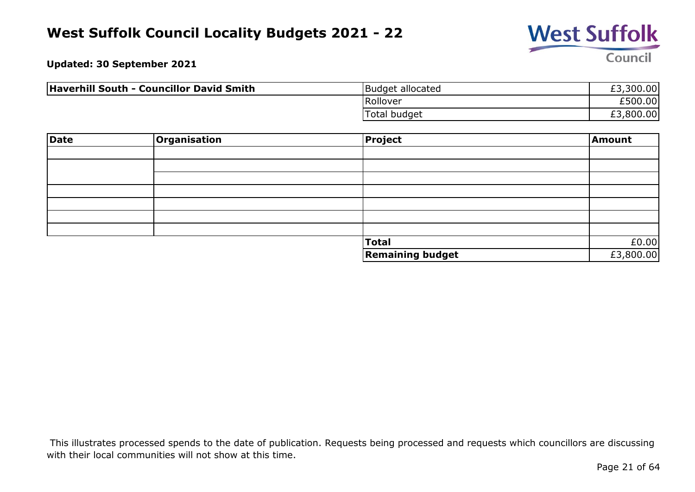

**Updated: 30 September 2021**

| Haverhill South - Councillor David Smith | Budget allocated | £3,300.00 |
|------------------------------------------|------------------|-----------|
|                                          | Rollover         | £500.00   |
|                                          | Total budget     | £3,800.00 |

| Date | Organisation | Project                 | Amount    |
|------|--------------|-------------------------|-----------|
|      |              |                         |           |
|      |              |                         |           |
|      |              |                         |           |
|      |              |                         |           |
|      |              |                         |           |
|      |              |                         |           |
|      |              |                         |           |
|      |              | <b>Total</b>            | £0.00     |
|      |              | <b>Remaining budget</b> | £3,800.00 |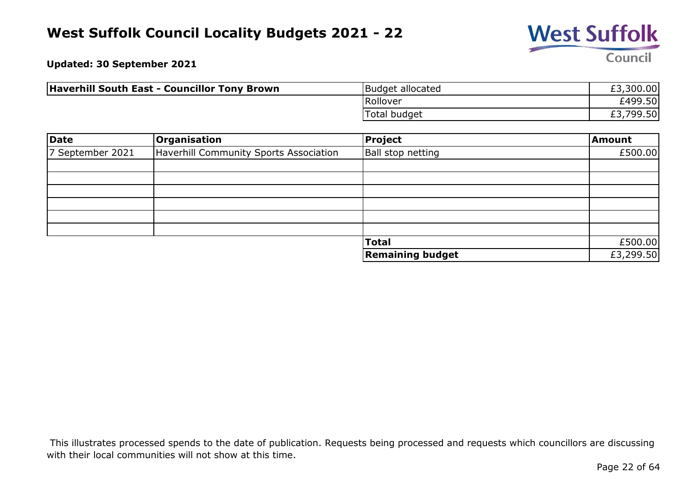

**Updated: 30 September 2021**

| <b>Haverhill South East - Councillor Tony Brown</b> | Budget allocated    | £3,300.00            |
|-----------------------------------------------------|---------------------|----------------------|
|                                                     | Rollover            | £499.50              |
|                                                     | <b>Total budget</b> | 799.50,<br>r d<br>ヒコ |

| <b>Date</b>      | Organisation                           | Project                 | Amount    |
|------------------|----------------------------------------|-------------------------|-----------|
| 7 September 2021 | Haverhill Community Sports Association | Ball stop netting       | £500.00   |
|                  |                                        |                         |           |
|                  |                                        |                         |           |
|                  |                                        |                         |           |
|                  |                                        |                         |           |
|                  |                                        |                         |           |
|                  |                                        |                         |           |
|                  |                                        | <b>Total</b>            | £500.00   |
|                  |                                        | <b>Remaining budget</b> | £3,299.50 |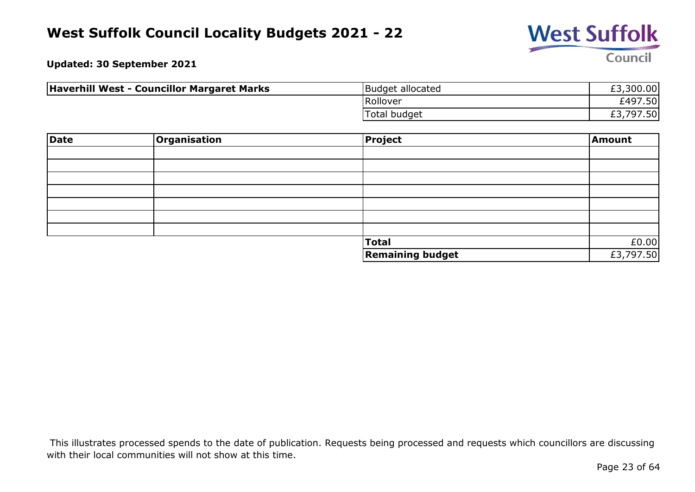

**Updated: 30 September 2021**

| Haverhill West - Councillor Margaret Marks | Budget allocated    | £3,300.00 |
|--------------------------------------------|---------------------|-----------|
|                                            | Rollover            | £497.50   |
|                                            | <b>Total budget</b> | £3,797.50 |

| Date | <b>Organisation</b> | <b>Project</b>          | Amount    |
|------|---------------------|-------------------------|-----------|
|      |                     |                         |           |
|      |                     |                         |           |
|      |                     |                         |           |
|      |                     |                         |           |
|      |                     |                         |           |
|      |                     |                         |           |
|      |                     |                         |           |
|      |                     | <b>Total</b>            | £0.00     |
|      |                     | <b>Remaining budget</b> | £3,797.50 |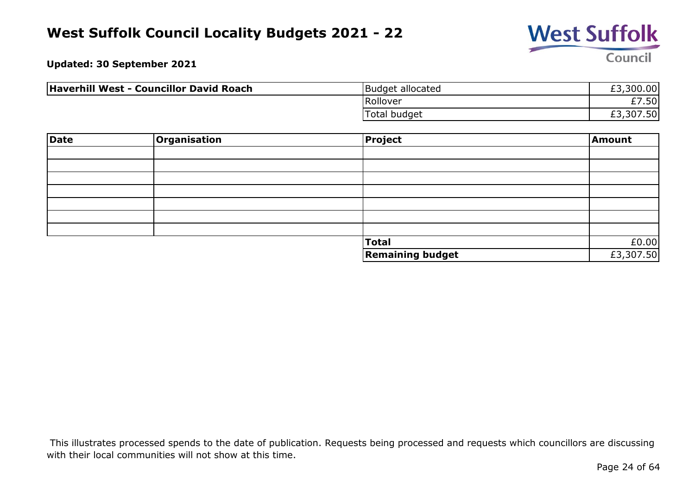

**Updated: 30 September 2021**

| Haverhill West - Councillor David Roach | Budget allocated    | £3,300.00 |
|-----------------------------------------|---------------------|-----------|
|                                         | Rollover            | £7.50     |
|                                         | <b>Total budget</b> | £3,307.50 |

| Date | Organisation | Project                 | Amount    |
|------|--------------|-------------------------|-----------|
|      |              |                         |           |
|      |              |                         |           |
|      |              |                         |           |
|      |              |                         |           |
|      |              |                         |           |
|      |              |                         |           |
|      |              |                         |           |
|      |              | <b>Total</b>            | £0.00     |
|      |              | <b>Remaining budget</b> | £3,307.50 |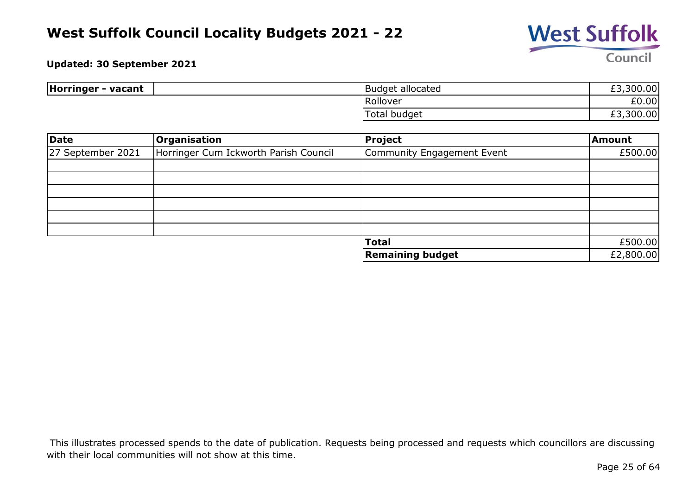

#### **Updated: 30 September 2021**

| Horringer<br>- vacant | <b>IBudget allocated</b> | ا00.00د,<br>rת<br>とつ       |
|-----------------------|--------------------------|----------------------------|
|                       | Rollover                 | £0.00                      |
|                       | Total budget             | ,300.00<br>ro<br><b>LJ</b> |

| Date              | Organisation                          | <b>Project</b>             | Amount    |
|-------------------|---------------------------------------|----------------------------|-----------|
| 27 September 2021 | Horringer Cum Ickworth Parish Council | Community Engagement Event | £500.00   |
|                   |                                       |                            |           |
|                   |                                       |                            |           |
|                   |                                       |                            |           |
|                   |                                       |                            |           |
|                   |                                       |                            |           |
|                   |                                       |                            |           |
|                   |                                       | <b>Total</b>               | £500.00   |
|                   |                                       | <b>Remaining budget</b>    | £2,800.00 |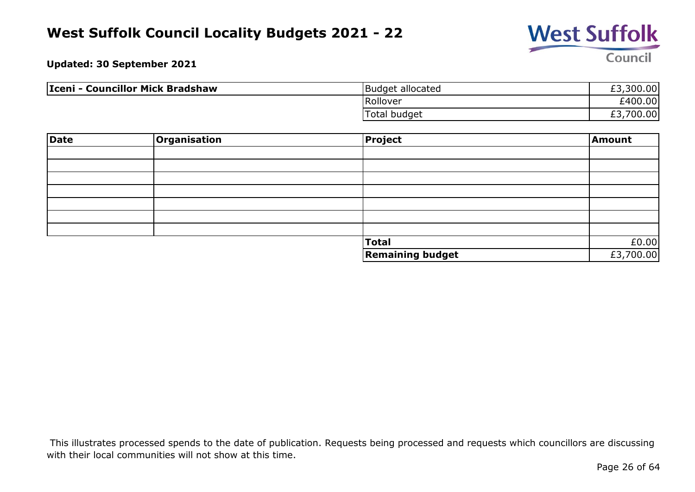

**Updated: 30 September 2021**

| Iceni - Councillor Mick Bradshaw | Budget allocated | £3,300.00       |
|----------------------------------|------------------|-----------------|
|                                  | Rollover         | £400.00         |
|                                  | Total budget     | 700.00<br>⊸ت ــ |

| <b>Date</b> | Organisation | Project                 | Amount    |
|-------------|--------------|-------------------------|-----------|
|             |              |                         |           |
|             |              |                         |           |
|             |              |                         |           |
|             |              |                         |           |
|             |              |                         |           |
|             |              |                         |           |
|             |              |                         |           |
|             |              | Total                   | £0.00     |
|             |              | <b>Remaining budget</b> | £3,700.00 |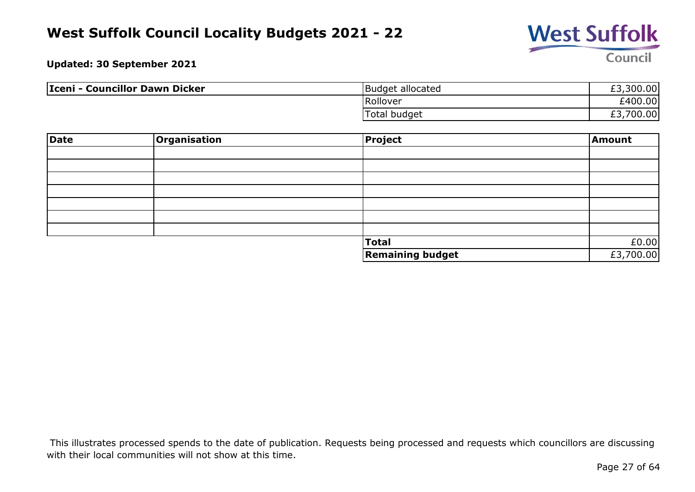

**Updated: 30 September 2021**

| Iceni - Councillor Dawn Dicker | Budget allocated | £3,300.00           |
|--------------------------------|------------------|---------------------|
|                                | Rollover         | £400.00             |
|                                | Total budget     | 700.00<br>rת<br>د.± |

| <b>Date</b> | Organisation | Project                 | Amount    |
|-------------|--------------|-------------------------|-----------|
|             |              |                         |           |
|             |              |                         |           |
|             |              |                         |           |
|             |              |                         |           |
|             |              |                         |           |
|             |              |                         |           |
|             |              |                         |           |
|             |              | <b>Total</b>            | £0.00     |
|             |              | <b>Remaining budget</b> | £3,700.00 |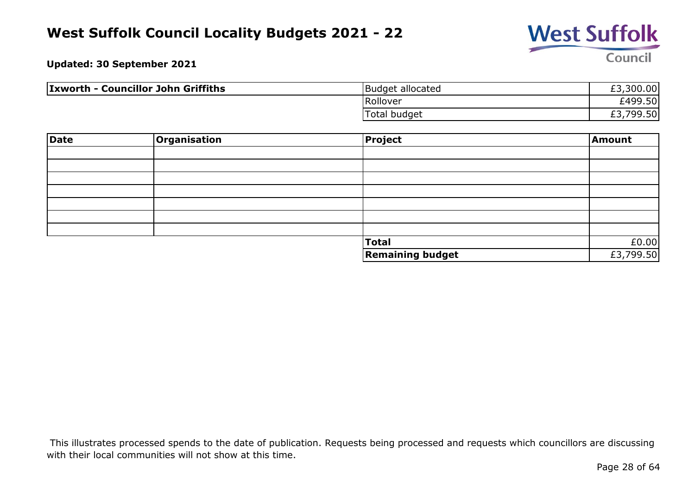

**Updated: 30 September 2021**

| <b>Ixworth - Councillor John Griffiths</b> | Budget allocated | £3,300.00 |
|--------------------------------------------|------------------|-----------|
|                                            | Rollover         | £499.50   |
|                                            | Total budget     | £3,799.50 |

| <b>Date</b> | Organisation | Project                 | Amount    |
|-------------|--------------|-------------------------|-----------|
|             |              |                         |           |
|             |              |                         |           |
|             |              |                         |           |
|             |              |                         |           |
|             |              |                         |           |
|             |              |                         |           |
|             |              |                         |           |
|             |              | Total                   | £0.00     |
|             |              | <b>Remaining budget</b> | £3,799.50 |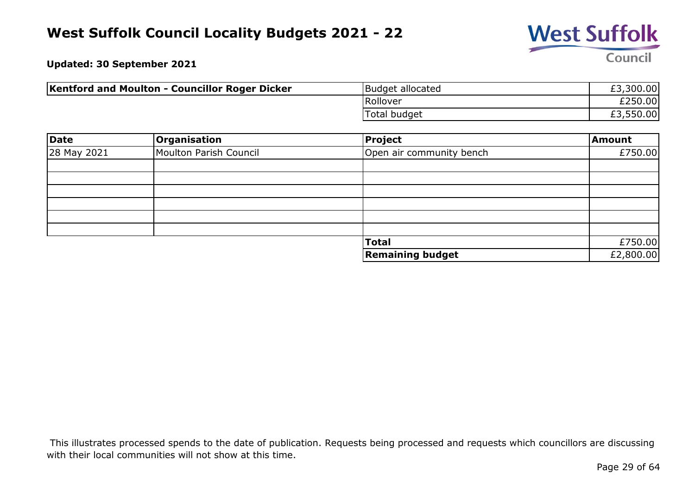

**Updated: 30 September 2021**

| Kentford and Moulton - Councillor Roger Dicker | Budget allocated | £3,300.00 |
|------------------------------------------------|------------------|-----------|
|                                                | Rollover         | £250.00   |
|                                                | Total budget     | £3,550.00 |

| Date        | Organisation           | Project                  | Amount    |
|-------------|------------------------|--------------------------|-----------|
| 28 May 2021 | Moulton Parish Council | Open air community bench | £750.00   |
|             |                        |                          |           |
|             |                        |                          |           |
|             |                        |                          |           |
|             |                        |                          |           |
|             |                        |                          |           |
|             |                        |                          |           |
|             |                        | <b>Total</b>             | £750.00   |
|             |                        | <b>Remaining budget</b>  | £2,800.00 |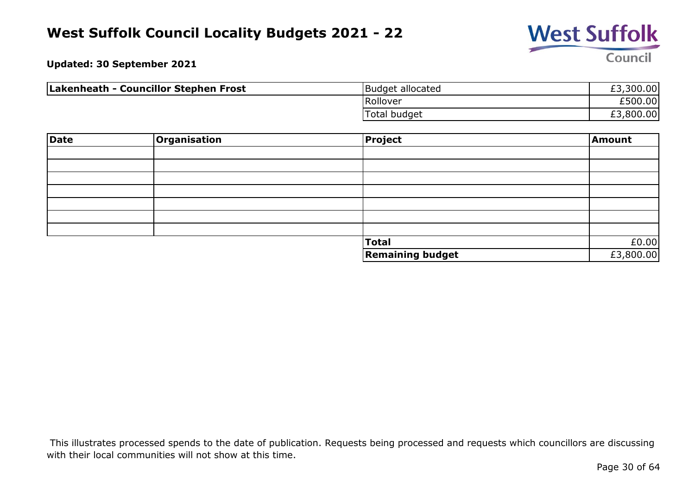

**Updated: 30 September 2021**

| Lakenheath - Councillor Stephen Frost | Budget allocated    | £3,300.00 |
|---------------------------------------|---------------------|-----------|
|                                       | Rollover            | £500.00   |
|                                       | <b>Total budget</b> | £3,800.00 |

| Date | Organisation | Project                 | Amount    |
|------|--------------|-------------------------|-----------|
|      |              |                         |           |
|      |              |                         |           |
|      |              |                         |           |
|      |              |                         |           |
|      |              |                         |           |
|      |              |                         |           |
|      |              |                         |           |
|      |              | <b>Total</b>            | £0.00     |
|      |              | <b>Remaining budget</b> | £3,800.00 |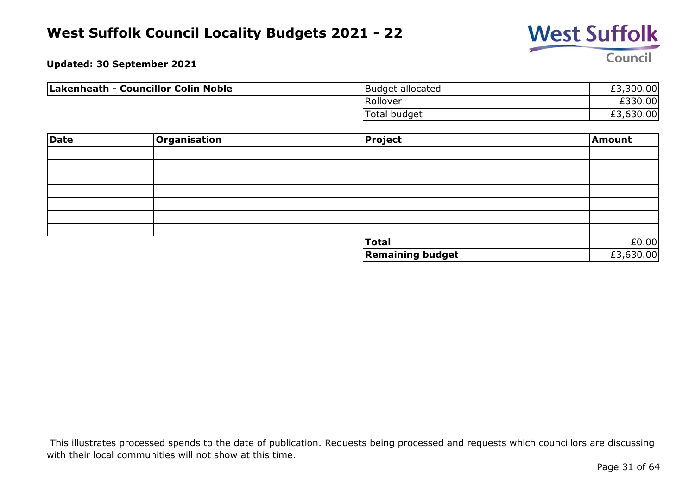

**Updated: 30 September 2021**

| Lakenheath - Councillor Colin Noble | Budget allocated    | £3,300.00 |
|-------------------------------------|---------------------|-----------|
|                                     | Rollover            | £330.00   |
|                                     | <b>Total budget</b> | £3,630.00 |

| Date | Organisation | Project                 | Amount    |
|------|--------------|-------------------------|-----------|
|      |              |                         |           |
|      |              |                         |           |
|      |              |                         |           |
|      |              |                         |           |
|      |              |                         |           |
|      |              |                         |           |
|      |              |                         |           |
|      |              | <b>Total</b>            | £0.00     |
|      |              | <b>Remaining budget</b> | £3,630.00 |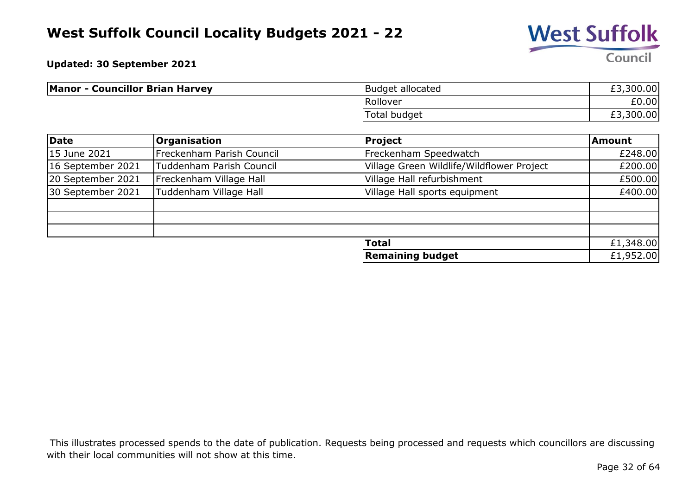

**Updated: 30 September 2021**

| <b>Manor - Councillor Brian Harvey</b> | Budget allocated    | £3,300.00 |
|----------------------------------------|---------------------|-----------|
|                                        | Rollover            | £0.00     |
|                                        | <b>Total budget</b> | £3,300.00 |

| Date              | <b>Organisation</b>       | <b>Project</b>                            | <b>Amount</b> |
|-------------------|---------------------------|-------------------------------------------|---------------|
| 15 June 2021      | Freckenham Parish Council | Freckenham Speedwatch                     | £248.00       |
| 16 September 2021 | Tuddenham Parish Council  | Village Green Wildlife/Wildflower Project | £200.00       |
| 20 September 2021 | Freckenham Village Hall   | Village Hall refurbishment                | £500.00       |
| 30 September 2021 | Tuddenham Village Hall    | Village Hall sports equipment             | £400.00       |
|                   |                           |                                           |               |
|                   |                           |                                           |               |
|                   |                           |                                           |               |
|                   |                           | <b>Total</b>                              | £1,348.00     |
|                   |                           | <b>Remaining budget</b>                   | £1,952.00     |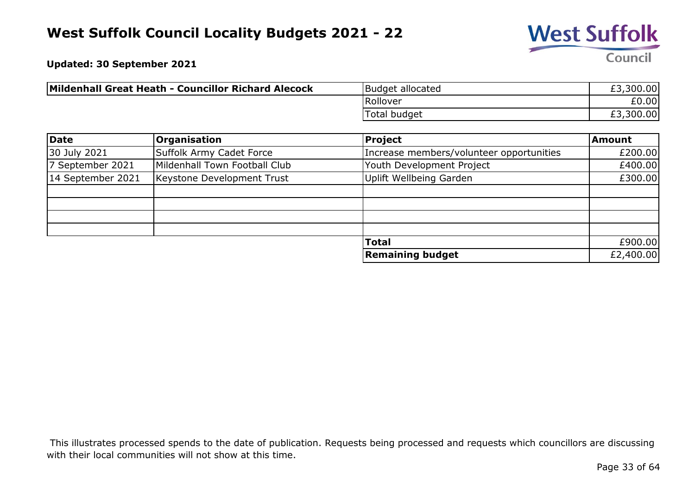

**Updated: 30 September 2021**

| Mildenhall Great Heath - Councillor Richard Alecock | Budget allocated    | £3,300.00 |
|-----------------------------------------------------|---------------------|-----------|
|                                                     | Rollover            | £0.00     |
|                                                     | <b>Total budget</b> | £3,300.00 |

| Date              | Organisation                  | <b>Project</b>                           | <b>Amount</b> |
|-------------------|-------------------------------|------------------------------------------|---------------|
| 30 July 2021      | Suffolk Army Cadet Force      | Increase members/volunteer opportunities | £200.00       |
| 7 September 2021  | Mildenhall Town Football Club | Youth Development Project                | £400.00       |
| 14 September 2021 | Keystone Development Trust    | Uplift Wellbeing Garden                  | £300.00       |
|                   |                               |                                          |               |
|                   |                               |                                          |               |
|                   |                               |                                          |               |
|                   |                               |                                          |               |
|                   |                               | <b>Total</b>                             | £900.00       |
|                   |                               | <b>Remaining budget</b>                  | £2,400.00     |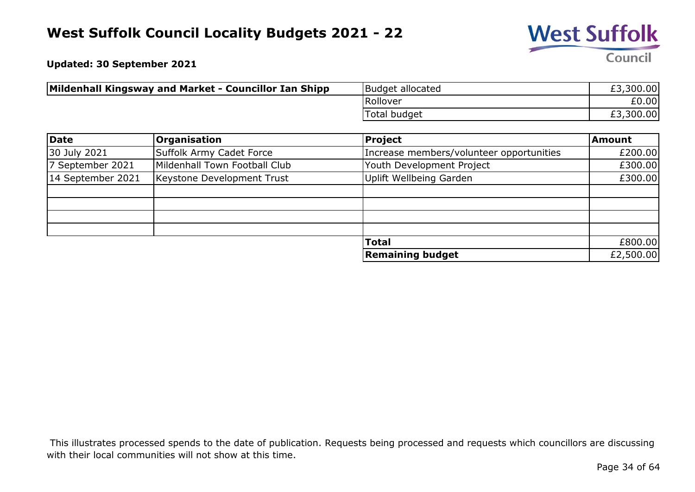

**Updated: 30 September 2021**

| Mildenhall Kingsway and Market - Councillor Ian Shipp | Budget allocated | £3,300.00 |
|-------------------------------------------------------|------------------|-----------|
|                                                       | Rollover         | £0.00l    |
|                                                       | 'Total budget    | £3,300.00 |

| Date              | <b>Organisation</b>           | Project                                  | <b>Amount</b> |
|-------------------|-------------------------------|------------------------------------------|---------------|
| 30 July 2021      | Suffolk Army Cadet Force      | Increase members/volunteer opportunities | £200.00       |
| 7 September 2021  | Mildenhall Town Football Club | Youth Development Project                | £300.00       |
| 14 September 2021 | Keystone Development Trust    | <b>Uplift Wellbeing Garden</b>           | £300.00       |
|                   |                               |                                          |               |
|                   |                               |                                          |               |
|                   |                               |                                          |               |
|                   |                               |                                          |               |
|                   |                               | <b>Total</b>                             | £800.00       |
|                   |                               | <b>Remaining budget</b>                  | £2,500.00     |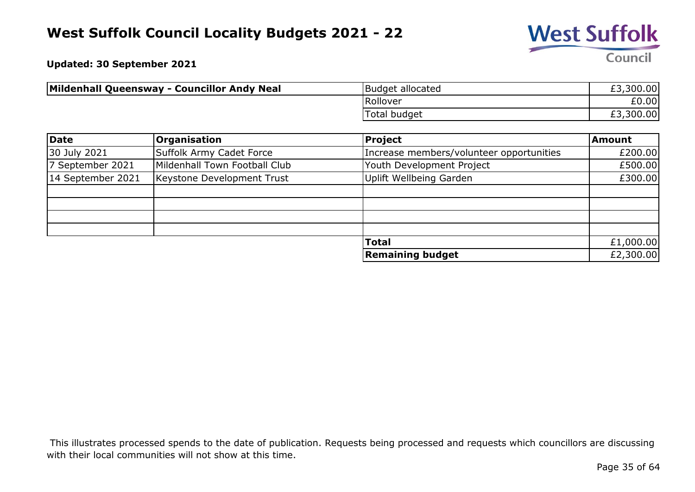

**Updated: 30 September 2021**

| Mildenhall Queensway - Councillor Andy Neal | Budget allocated | £3,300.00 |
|---------------------------------------------|------------------|-----------|
|                                             | Rollover         | £0.00     |
|                                             | 'Total budget    | £3,300.00 |

| Date              | <b>Organisation</b>           | Project                                  | Amount    |
|-------------------|-------------------------------|------------------------------------------|-----------|
| 30 July 2021      | Suffolk Army Cadet Force      | Increase members/volunteer opportunities | £200.00   |
| 7 September 2021  | Mildenhall Town Football Club | Youth Development Project                | £500.00   |
| 14 September 2021 | Keystone Development Trust    | Uplift Wellbeing Garden                  | £300.00   |
|                   |                               |                                          |           |
|                   |                               |                                          |           |
|                   |                               |                                          |           |
|                   |                               |                                          |           |
|                   |                               | <b>Total</b>                             | £1,000.00 |
|                   |                               | Remaining budget                         | £2,300.00 |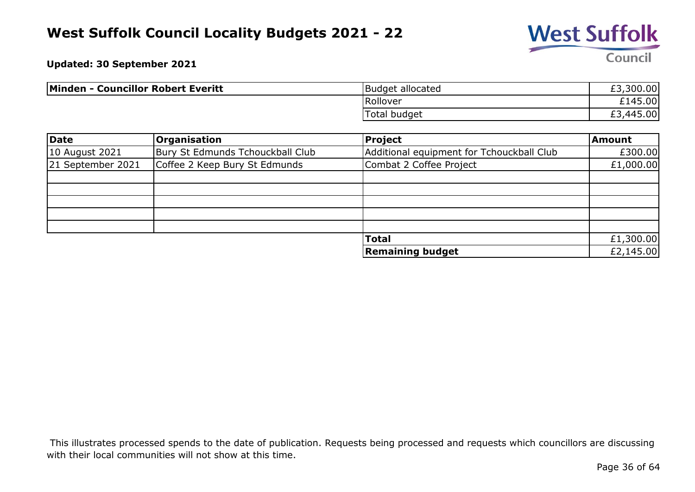

**Updated: 30 September 2021**

| Minden - Councillor Robert Everitt | Budget allocated    | £3,300.00 |
|------------------------------------|---------------------|-----------|
|                                    | Rollover            | £145.00   |
|                                    | <b>Total budget</b> | £3,445.00 |

| Date              | <b>Organisation</b>              | Project                                   | <b>Amount</b> |
|-------------------|----------------------------------|-------------------------------------------|---------------|
| 10 August 2021    | Bury St Edmunds Tchouckball Club | Additional equipment for Tchouckball Club | £300.00       |
| 21 September 2021 | Coffee 2 Keep Bury St Edmunds    | Combat 2 Coffee Project                   | £1,000.00     |
|                   |                                  |                                           |               |
|                   |                                  |                                           |               |
|                   |                                  |                                           |               |
|                   |                                  |                                           |               |
|                   |                                  |                                           |               |
|                   |                                  | <b>Total</b>                              | £1,300.00     |
|                   |                                  | <b>Remaining budget</b>                   | £2,145.00     |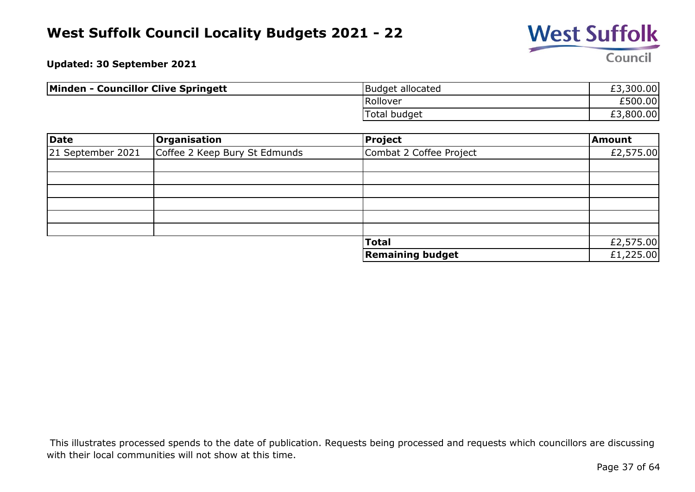

**Updated: 30 September 2021**

| <b>Minden - Councillor Clive Springett</b> | Budget allocated | £3,300.00            |
|--------------------------------------------|------------------|----------------------|
|                                            | Rollover         | £500.00              |
|                                            | Total budget     | ,800.00<br>rn<br>£٤. |

| Date              | <b>Organisation</b>           | Project                 | Amount    |
|-------------------|-------------------------------|-------------------------|-----------|
| 21 September 2021 | Coffee 2 Keep Bury St Edmunds | Combat 2 Coffee Project | £2,575.00 |
|                   |                               |                         |           |
|                   |                               |                         |           |
|                   |                               |                         |           |
|                   |                               |                         |           |
|                   |                               |                         |           |
|                   |                               |                         |           |
|                   |                               | <b>Total</b>            | £2,575.00 |
|                   |                               | <b>Remaining budget</b> | £1,225.00 |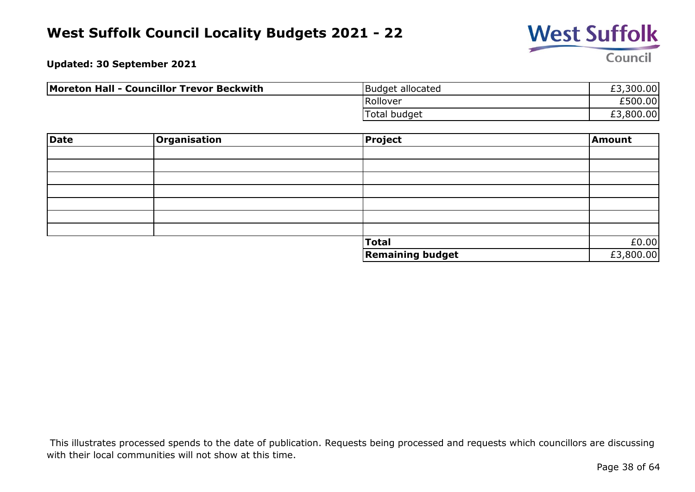

**Updated: 30 September 2021**

| Moreton Hall - Councillor Trevor Beckwith | Budget allocated    | £3,300.00 |
|-------------------------------------------|---------------------|-----------|
|                                           | Rollover            | £500.00   |
|                                           | <b>Total budget</b> | £3,800.00 |

| Date | Organisation | Project                 | Amount    |
|------|--------------|-------------------------|-----------|
|      |              |                         |           |
|      |              |                         |           |
|      |              |                         |           |
|      |              |                         |           |
|      |              |                         |           |
|      |              |                         |           |
|      |              |                         |           |
|      |              | <b>Total</b>            | £0.00     |
|      |              | <b>Remaining budget</b> | £3,800.00 |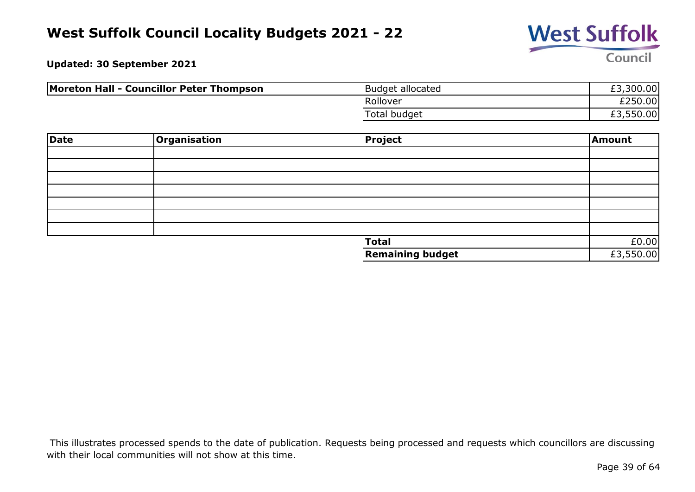

**Updated: 30 September 2021**

| Moreton Hall - Councillor Peter Thompson | Budget allocated | £3,300.00 |
|------------------------------------------|------------------|-----------|
|                                          | Rollover         | £250.00   |
|                                          | Total budget     | £3,550.00 |

| Date | Organisation | Project                 | Amount    |
|------|--------------|-------------------------|-----------|
|      |              |                         |           |
|      |              |                         |           |
|      |              |                         |           |
|      |              |                         |           |
|      |              |                         |           |
|      |              |                         |           |
|      |              |                         |           |
|      |              | <b>Total</b>            | £0.00     |
|      |              | <b>Remaining budget</b> | £3,550.00 |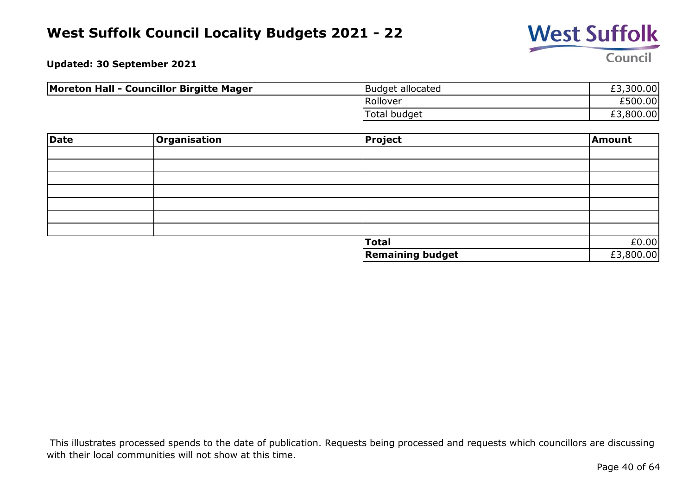

**Updated: 30 September 2021**

| Moreton Hall - Councillor Birgitte Mager | Budget allocated | £3,300.00 |
|------------------------------------------|------------------|-----------|
|                                          | Rollover         | £500.00   |
|                                          | Total budget     | £3,800.00 |

| Date | Organisation | Project                 | Amount    |
|------|--------------|-------------------------|-----------|
|      |              |                         |           |
|      |              |                         |           |
|      |              |                         |           |
|      |              |                         |           |
|      |              |                         |           |
|      |              |                         |           |
|      |              |                         |           |
|      |              | <b>Total</b>            | £0.00     |
|      |              | <b>Remaining budget</b> | £3,800.00 |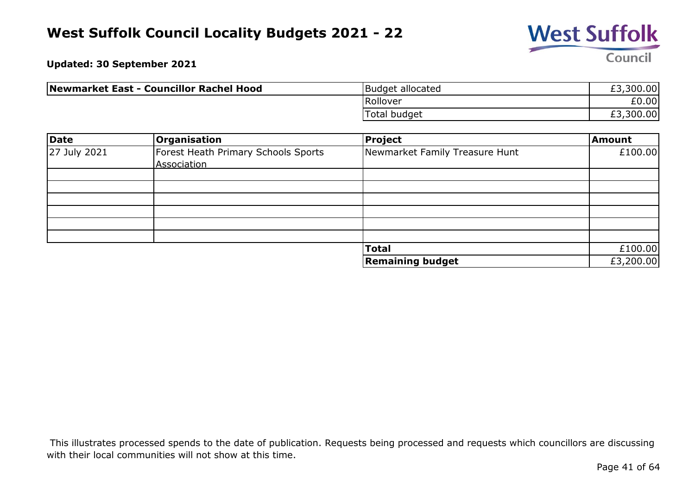

**Updated: 30 September 2021**

| Newmarket East - Councillor Rachel Hood | Budget allocated | £3,300.00 |
|-----------------------------------------|------------------|-----------|
|                                         | Rollover         | £0.00     |
|                                         | Total budget     | £3,300.00 |

| Date         | <b>Organisation</b>                                | Project                        | <b>Amount</b> |
|--------------|----------------------------------------------------|--------------------------------|---------------|
| 27 July 2021 | Forest Heath Primary Schools Sports<br>Association | Newmarket Family Treasure Hunt | £100.00       |
|              |                                                    |                                |               |
|              |                                                    |                                |               |
|              |                                                    |                                |               |
|              |                                                    |                                |               |
|              |                                                    |                                |               |
|              |                                                    |                                |               |
|              |                                                    | <b>Total</b>                   | £100.00       |
|              |                                                    | <b>Remaining budget</b>        | £3,200.00     |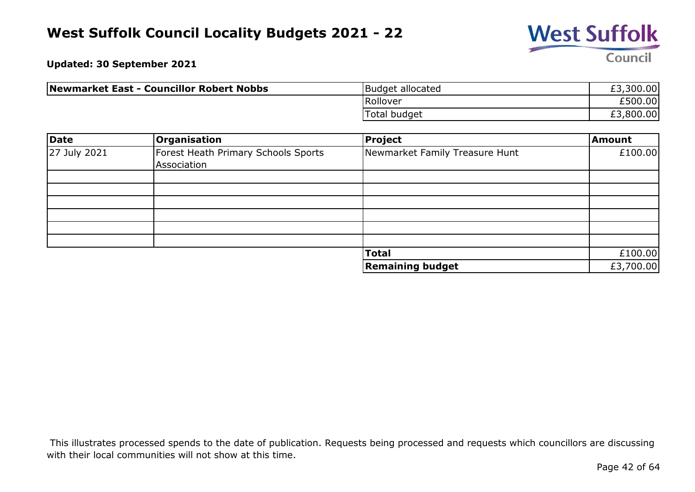

**Updated: 30 September 2021**

| Newmarket East - Councillor Robert Nobbs | Budget allocated    | £3,300.00 |
|------------------------------------------|---------------------|-----------|
|                                          | Rollover            | £500.00   |
|                                          | <b>Total budget</b> | £3,800.00 |

| <b>Date</b>  | Organisation                        | Project                        | Amount    |
|--------------|-------------------------------------|--------------------------------|-----------|
| 27 July 2021 | Forest Heath Primary Schools Sports | Newmarket Family Treasure Hunt | £100.00   |
|              | Association                         |                                |           |
|              |                                     |                                |           |
|              |                                     |                                |           |
|              |                                     |                                |           |
|              |                                     |                                |           |
|              |                                     |                                |           |
|              |                                     |                                |           |
|              |                                     | <b>Total</b>                   | £100.00   |
|              |                                     | <b>Remaining budget</b>        | £3,700.00 |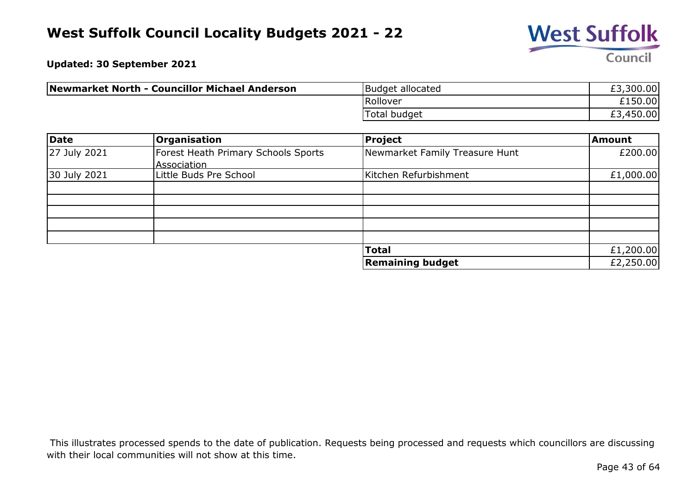

**Updated: 30 September 2021**

| Newmarket North - Councillor Michael Anderson | Budget allocated | £3,300.00 |
|-----------------------------------------------|------------------|-----------|
|                                               | Rollover         | £150.00   |
|                                               | Total budget     | £3,450.00 |

| Date         | Organisation                        | Project                        | <b>Amount</b> |
|--------------|-------------------------------------|--------------------------------|---------------|
| 27 July 2021 | Forest Heath Primary Schools Sports | Newmarket Family Treasure Hunt | £200.00       |
|              | Association                         |                                |               |
| 30 July 2021 | Little Buds Pre School              | Kitchen Refurbishment          | £1,000.00     |
|              |                                     |                                |               |
|              |                                     |                                |               |
|              |                                     |                                |               |
|              |                                     |                                |               |
|              |                                     |                                |               |
|              |                                     | <b>Total</b>                   | £1,200.00     |
|              |                                     | <b>Remaining budget</b>        | £2,250.00     |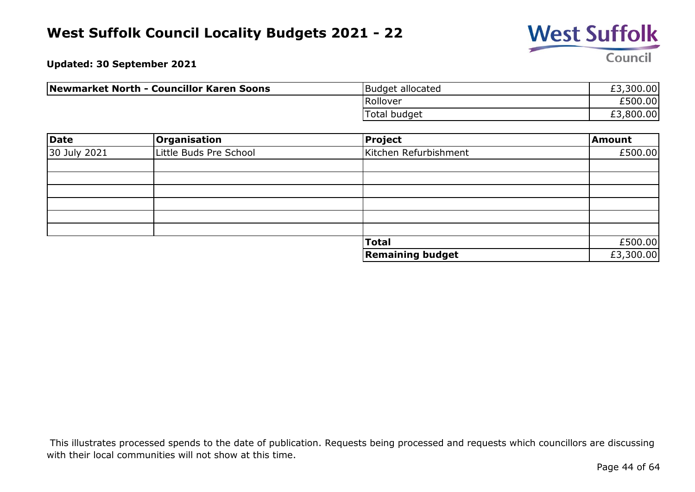

**Updated: 30 September 2021**

| Newmarket North - Councillor Karen Soons | Budget allocated    | £3,300.00 |
|------------------------------------------|---------------------|-----------|
|                                          | Rollover            | £500.00   |
|                                          | <b>Total budget</b> | £3,800.00 |

| <b>Date</b>  | Organisation           | <b>Project</b>          | Amount    |
|--------------|------------------------|-------------------------|-----------|
| 30 July 2021 | Little Buds Pre School | Kitchen Refurbishment   | £500.00   |
|              |                        |                         |           |
|              |                        |                         |           |
|              |                        |                         |           |
|              |                        |                         |           |
|              |                        |                         |           |
|              |                        |                         |           |
|              |                        | <b>Total</b>            | £500.00   |
|              |                        | <b>Remaining budget</b> | £3,300.00 |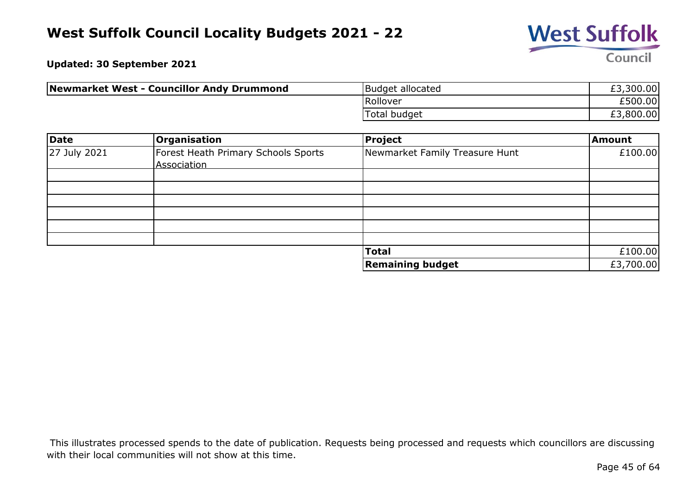

**Updated: 30 September 2021**

| Newmarket West - Councillor Andy Drummond | Budget allocated    | £3,300.00 |
|-------------------------------------------|---------------------|-----------|
|                                           | Rollover            | £500.00   |
|                                           | <b>Total budget</b> | £3,800.00 |

| Date         | <b>Organisation</b>                                | Project                        | Amount    |
|--------------|----------------------------------------------------|--------------------------------|-----------|
| 27 July 2021 | Forest Heath Primary Schools Sports<br>Association | Newmarket Family Treasure Hunt | £100.00   |
|              |                                                    |                                |           |
|              |                                                    |                                |           |
|              |                                                    |                                |           |
|              |                                                    |                                |           |
|              |                                                    |                                |           |
|              |                                                    |                                |           |
|              |                                                    | <b>Total</b>                   | £100.00   |
|              |                                                    | <b>Remaining budget</b>        | £3,700.00 |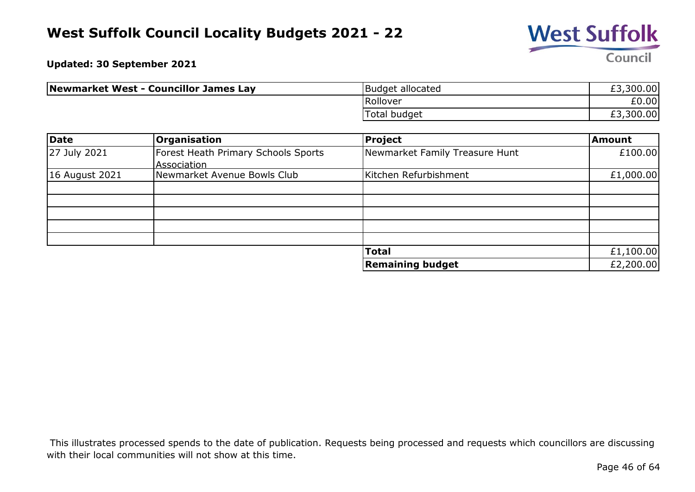

**Updated: 30 September 2021**

| Newmarket West - Councillor James Lay | Budget allocated    | £3,300.00 |
|---------------------------------------|---------------------|-----------|
|                                       | Rollover            | £0.00     |
|                                       | <b>Total budget</b> | £3,300.00 |

| Date           | <b>Organisation</b>                 | Project                        | <b>Amount</b> |
|----------------|-------------------------------------|--------------------------------|---------------|
| 27 July 2021   | Forest Heath Primary Schools Sports | Newmarket Family Treasure Hunt | £100.00       |
|                | Association                         |                                |               |
| 16 August 2021 | Newmarket Avenue Bowls Club         | Kitchen Refurbishment          | £1,000.00     |
|                |                                     |                                |               |
|                |                                     |                                |               |
|                |                                     |                                |               |
|                |                                     |                                |               |
|                |                                     |                                |               |
|                |                                     | <b>Total</b>                   | £1,100.00     |
|                |                                     | <b>Remaining budget</b>        | £2,200.00     |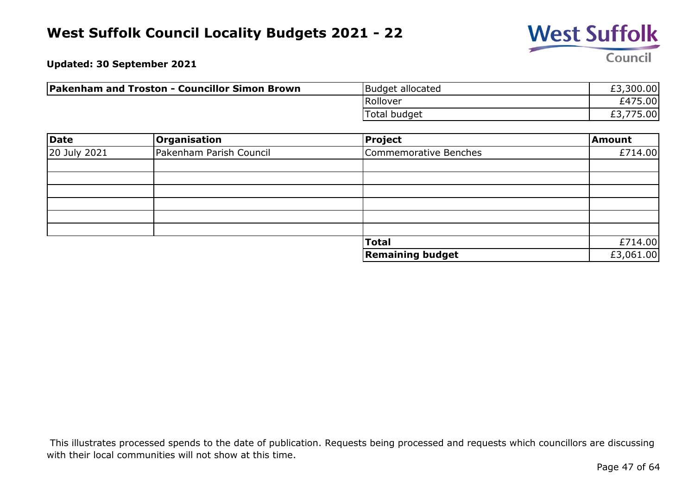

**Updated: 30 September 2021**

| <b>Pakenham and Troston - Councillor Simon Brown</b> | Budget allocated    | £3,300.00       |
|------------------------------------------------------|---------------------|-----------------|
|                                                      | Rollover            | £475.00         |
|                                                      | <b>Total budget</b> | 775.00<br>LJ.// |

| <b>Date</b>  | Organisation            | Project                 | Amount    |
|--------------|-------------------------|-------------------------|-----------|
| 20 July 2021 | Pakenham Parish Council | Commemorative Benches   | £714.00   |
|              |                         |                         |           |
|              |                         |                         |           |
|              |                         |                         |           |
|              |                         |                         |           |
|              |                         |                         |           |
|              |                         |                         |           |
|              |                         | <b>Total</b>            | £714.00   |
|              |                         | <b>Remaining budget</b> | £3,061.00 |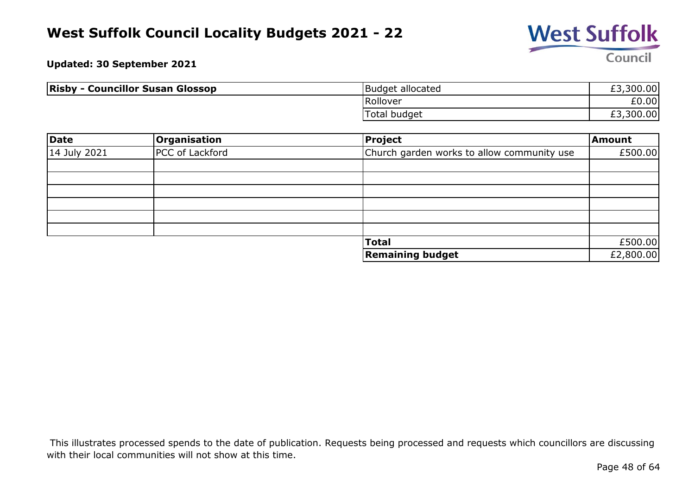

**Updated: 30 September 2021**

| <b>Risby - Councillor Susan Glossop</b> | Budget allocated | £3,300.00 |
|-----------------------------------------|------------------|-----------|
|                                         | Rollover         | £0.00     |
|                                         | Total budget     | £3,300.00 |

| Date         | Organisation    | Project                                    | Amount    |
|--------------|-----------------|--------------------------------------------|-----------|
| 14 July 2021 | PCC of Lackford | Church garden works to allow community use | £500.00   |
|              |                 |                                            |           |
|              |                 |                                            |           |
|              |                 |                                            |           |
|              |                 |                                            |           |
|              |                 |                                            |           |
|              |                 |                                            |           |
|              |                 | <b>Total</b>                               | £500.00   |
|              |                 | <b>Remaining budget</b>                    | £2,800.00 |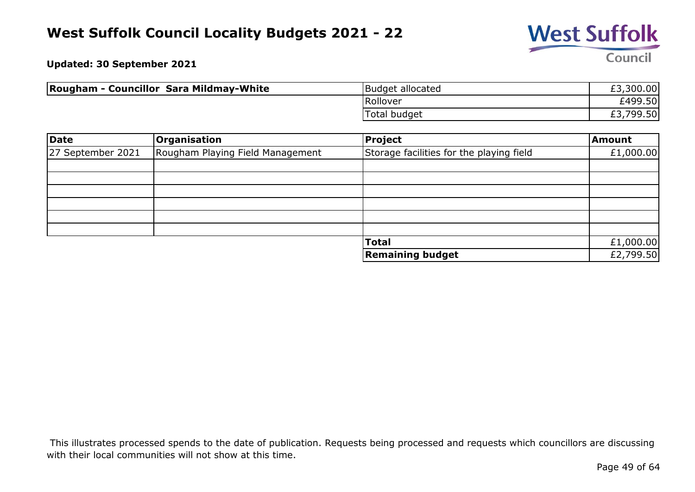

**Updated: 30 September 2021**

| <b>Rougham - Councillor Sara Mildmay-White</b> | Budget allocated | £3,300.00 |
|------------------------------------------------|------------------|-----------|
|                                                | Rollover         | £499.50   |
|                                                | Total budget     | £3,799.50 |

| Date              | Organisation                     | Project                                  | Amount    |
|-------------------|----------------------------------|------------------------------------------|-----------|
| 27 September 2021 | Rougham Playing Field Management | Storage facilities for the playing field | £1,000.00 |
|                   |                                  |                                          |           |
|                   |                                  |                                          |           |
|                   |                                  |                                          |           |
|                   |                                  |                                          |           |
|                   |                                  |                                          |           |
|                   |                                  |                                          |           |
|                   |                                  | <b>Total</b>                             | £1,000.00 |
|                   |                                  | <b>Remaining budget</b>                  | £2,799.50 |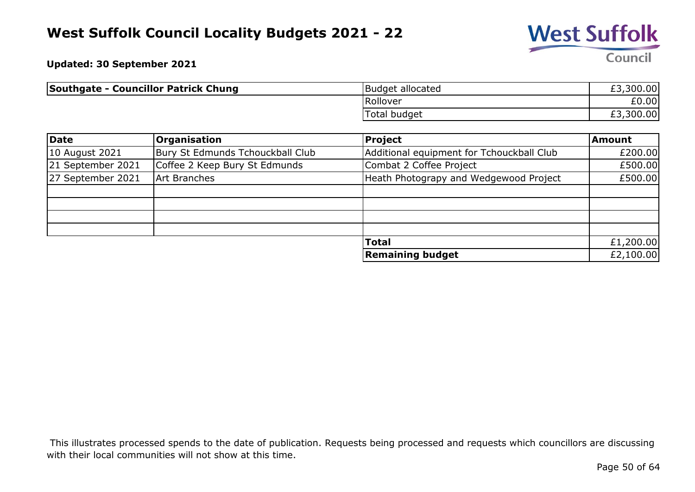

**Updated: 30 September 2021**

| <b>Southgate - Councillor Patrick Chung</b> | Budget allocated    | £3,300.00 |
|---------------------------------------------|---------------------|-----------|
|                                             | Rollover            | £0.00     |
|                                             | <b>Total budget</b> | £3,300.00 |

| Date              | <b>Organisation</b>              | <b>Project</b>                            | <b>Amount</b> |
|-------------------|----------------------------------|-------------------------------------------|---------------|
| 10 August 2021    | Bury St Edmunds Tchouckball Club | Additional equipment for Tchouckball Club | £200.00       |
| 21 September 2021 | Coffee 2 Keep Bury St Edmunds    | Combat 2 Coffee Project                   | £500.00       |
| 27 September 2021 | Art Branches                     | Heath Photograpy and Wedgewood Project    | £500.00       |
|                   |                                  |                                           |               |
|                   |                                  |                                           |               |
|                   |                                  |                                           |               |
|                   |                                  |                                           |               |
|                   |                                  | <b>Total</b>                              | £1,200.00     |
|                   |                                  | <b>Remaining budget</b>                   | £2,100.00     |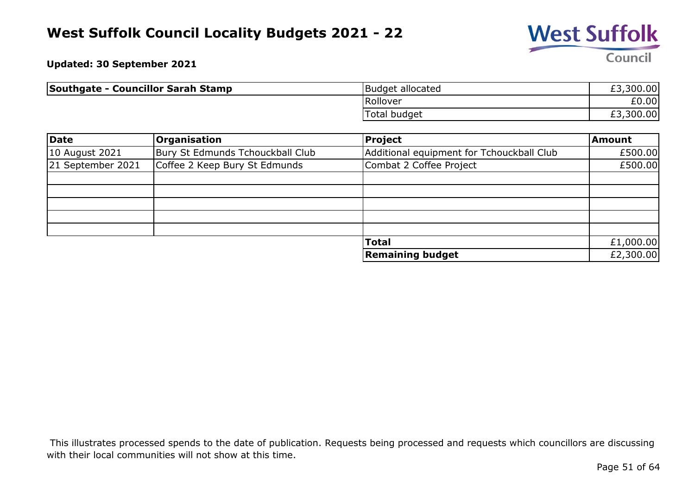

**Updated: 30 September 2021**

| Southgate - Councillor Sarah Stamp | Budget allocated    | £3,300.00 |
|------------------------------------|---------------------|-----------|
|                                    | Rollover            | £0.00     |
|                                    | <b>Total budget</b> | £3,300.00 |

| Date              | <b>Organisation</b>              | <b>Project</b>                            | <b>Amount</b> |
|-------------------|----------------------------------|-------------------------------------------|---------------|
| 10 August 2021    | Bury St Edmunds Tchouckball Club | Additional equipment for Tchouckball Club | £500.00       |
| 21 September 2021 | Coffee 2 Keep Bury St Edmunds    | Combat 2 Coffee Project                   | £500.00       |
|                   |                                  |                                           |               |
|                   |                                  |                                           |               |
|                   |                                  |                                           |               |
|                   |                                  |                                           |               |
|                   |                                  |                                           |               |
|                   |                                  | <b>Total</b>                              | £1,000.00     |
|                   |                                  | <b>Remaining budget</b>                   | £2,300.00     |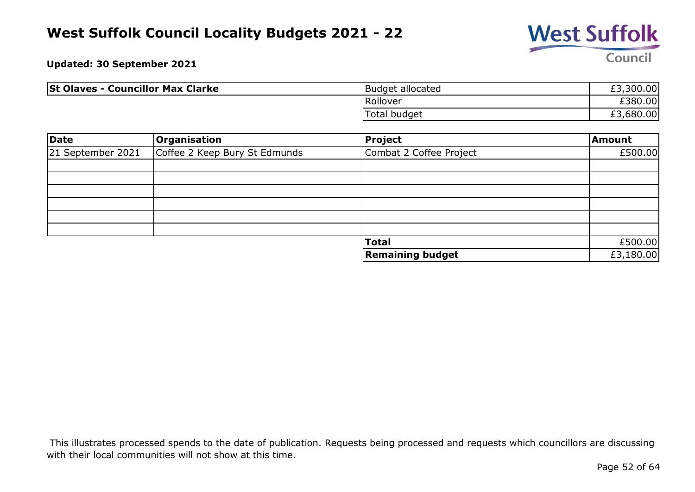

**Updated: 30 September 2021**

| <b>St Olaves - Councillor Max Clarke</b> | Budget allocated | £3,300.00 |
|------------------------------------------|------------------|-----------|
|                                          | Rollover         | £380.00   |
|                                          | Total budget     | £3,680.00 |

| Date              | Organisation                  | Project                 | Amount    |
|-------------------|-------------------------------|-------------------------|-----------|
| 21 September 2021 | Coffee 2 Keep Bury St Edmunds | Combat 2 Coffee Project | £500.00   |
|                   |                               |                         |           |
|                   |                               |                         |           |
|                   |                               |                         |           |
|                   |                               |                         |           |
|                   |                               |                         |           |
|                   |                               |                         |           |
|                   |                               | <b>Total</b>            | £500.00   |
|                   |                               | <b>Remaining budget</b> | £3,180.00 |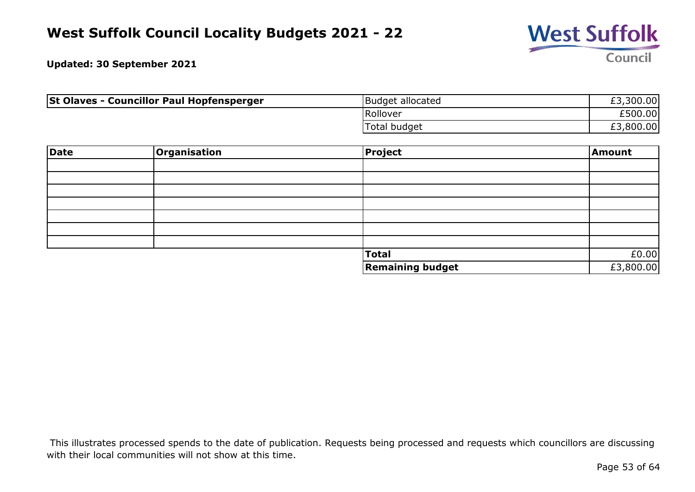

**Updated: 30 September 2021**

| <b>St Olaves - Councillor Paul Hopfensperger</b> | Budget allocated    | £3,300.00 |
|--------------------------------------------------|---------------------|-----------|
|                                                  | Rollover            | £500.00   |
|                                                  | <b>Total budget</b> | £3,800.00 |

| <b>Date</b> | Organisation | Project                 | Amount    |
|-------------|--------------|-------------------------|-----------|
|             |              |                         |           |
|             |              |                         |           |
|             |              |                         |           |
|             |              |                         |           |
|             |              |                         |           |
|             |              |                         |           |
|             |              |                         |           |
|             |              | <b>Total</b>            | £0.00     |
|             |              | <b>Remaining budget</b> | £3,800.00 |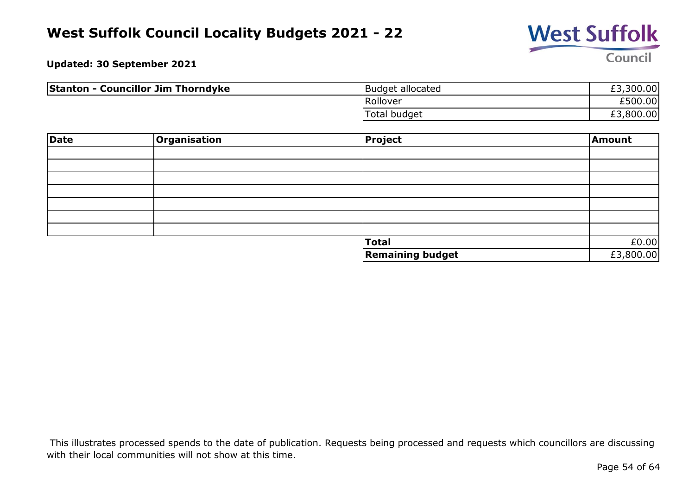

**Updated: 30 September 2021**

| <b>Stanton - Councillor Jim Thorndyke</b> | Budget allocated | £3,300.00 |
|-------------------------------------------|------------------|-----------|
|                                           | Rollover         | £500.00   |
|                                           | Total budget     | £3,800.00 |

| Date | Organisation | Project                 | Amount    |
|------|--------------|-------------------------|-----------|
|      |              |                         |           |
|      |              |                         |           |
|      |              |                         |           |
|      |              |                         |           |
|      |              |                         |           |
|      |              |                         |           |
|      |              |                         |           |
|      |              | <b>Total</b>            | £0.00     |
|      |              | <b>Remaining budget</b> | £3,800.00 |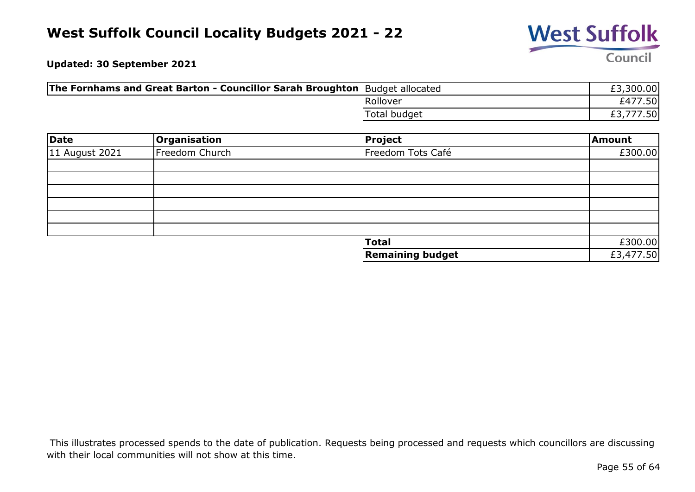

**Updated: 30 September 2021**

| <b>The Fornhams and Great Barton - Councillor Sarah Broughton</b> Budget allocated |              | £3,300.00   |
|------------------------------------------------------------------------------------|--------------|-------------|
|                                                                                    | Rollover     | 7.50<br>E47 |
|                                                                                    | Total budget | 7.50        |

| <b>Date</b>    | <b>Organisation</b> | Project                 | Amount    |
|----------------|---------------------|-------------------------|-----------|
| 11 August 2021 | Freedom Church      | Freedom Tots Café       | £300.00   |
|                |                     |                         |           |
|                |                     |                         |           |
|                |                     |                         |           |
|                |                     |                         |           |
|                |                     |                         |           |
|                |                     |                         |           |
|                |                     | <b>Total</b>            | £300.00   |
|                |                     | <b>Remaining budget</b> | £3,477.50 |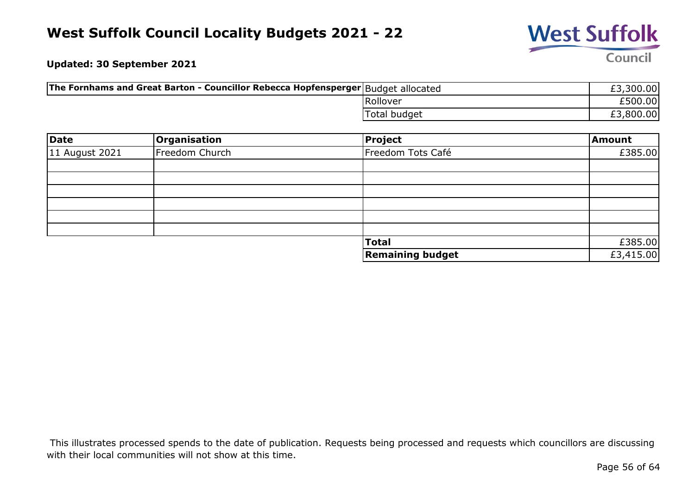

**Updated: 30 September 2021**

| The Fornhams and Great Barton - Councillor Rebecca Hopfensperger Budget allocated |              | £3,300.00 |
|-----------------------------------------------------------------------------------|--------------|-----------|
|                                                                                   | Rollover     | £500.00   |
|                                                                                   | Total budget | £3,800.00 |

| <b>Date</b>    | Organisation   | Project                 | Amount    |
|----------------|----------------|-------------------------|-----------|
| 11 August 2021 | Freedom Church | Freedom Tots Café       | £385.00   |
|                |                |                         |           |
|                |                |                         |           |
|                |                |                         |           |
|                |                |                         |           |
|                |                |                         |           |
|                |                |                         |           |
|                |                | <b>Total</b>            | £385.00   |
|                |                | <b>Remaining budget</b> | £3,415.00 |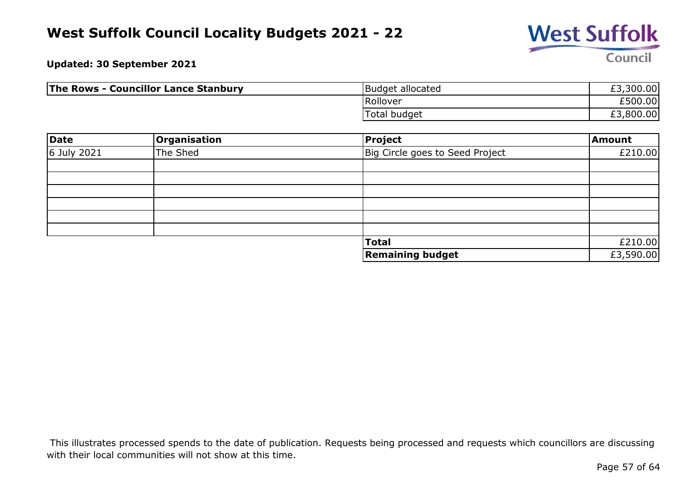

**Updated: 30 September 2021**

| <b>The Rows - Councillor Lance Stanbury</b> | Budget allocated    | £3,300.00 |
|---------------------------------------------|---------------------|-----------|
|                                             | Rollover            | £500.00   |
|                                             | <b>Total budget</b> | £3,800.00 |

| Date        | Organisation | <b>Project</b>                  | Amount    |
|-------------|--------------|---------------------------------|-----------|
| 6 July 2021 | The Shed     | Big Circle goes to Seed Project | £210.00   |
|             |              |                                 |           |
|             |              |                                 |           |
|             |              |                                 |           |
|             |              |                                 |           |
|             |              |                                 |           |
|             |              |                                 |           |
|             |              | <b>Total</b>                    | £210.00   |
|             |              | <b>Remaining budget</b>         | £3,590.00 |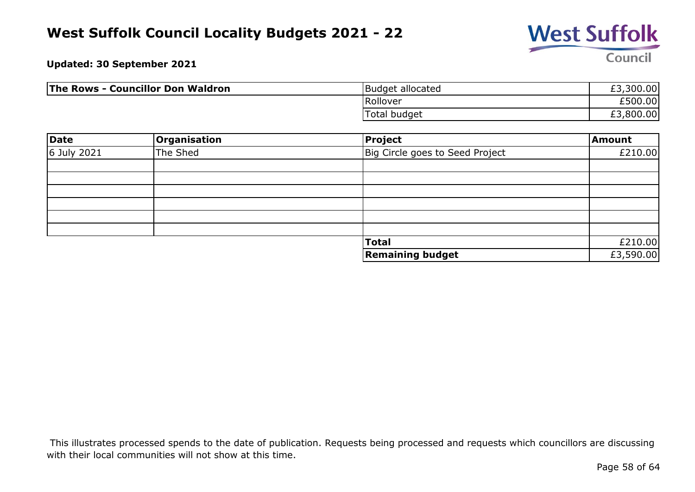

**Updated: 30 September 2021**

| <b>The Rows - Councillor Don Waldron</b> | Budget allocated | £3,300.00 |
|------------------------------------------|------------------|-----------|
|                                          | Rollover         | £500.00   |
|                                          | Total budget     | £3,800.00 |

| Date        | <b>Organisation</b> | <b>Project</b>                  | Amount    |
|-------------|---------------------|---------------------------------|-----------|
| 6 July 2021 | The Shed            | Big Circle goes to Seed Project | £210.00   |
|             |                     |                                 |           |
|             |                     |                                 |           |
|             |                     |                                 |           |
|             |                     |                                 |           |
|             |                     |                                 |           |
|             |                     |                                 |           |
|             |                     | <b>Total</b>                    | £210.00   |
|             |                     | <b>Remaining budget</b>         | £3,590.00 |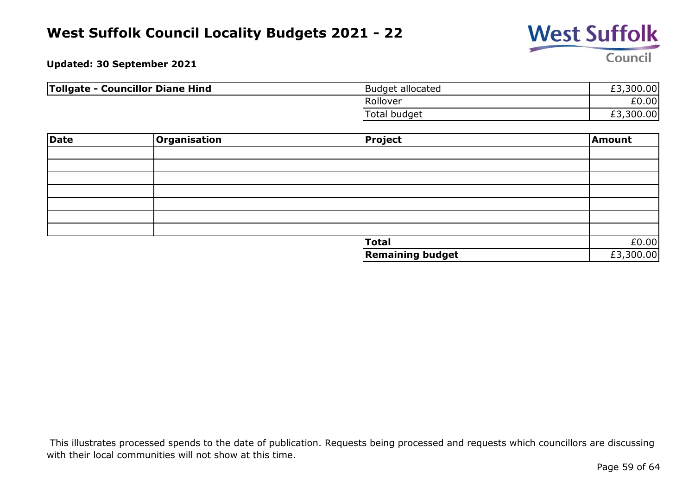

**Updated: 30 September 2021**

| Tollgate - Councillor Diane Hind | Budget allocated    | £3,300.00 |
|----------------------------------|---------------------|-----------|
|                                  | Rollover            | £0.00     |
|                                  | <b>Total budget</b> | £3,300.00 |

| <b>Date</b> | Organisation | Project                 | Amount    |
|-------------|--------------|-------------------------|-----------|
|             |              |                         |           |
|             |              |                         |           |
|             |              |                         |           |
|             |              |                         |           |
|             |              |                         |           |
|             |              |                         |           |
|             |              |                         |           |
|             |              | Total                   | £0.00     |
|             |              | <b>Remaining budget</b> | £3,300.00 |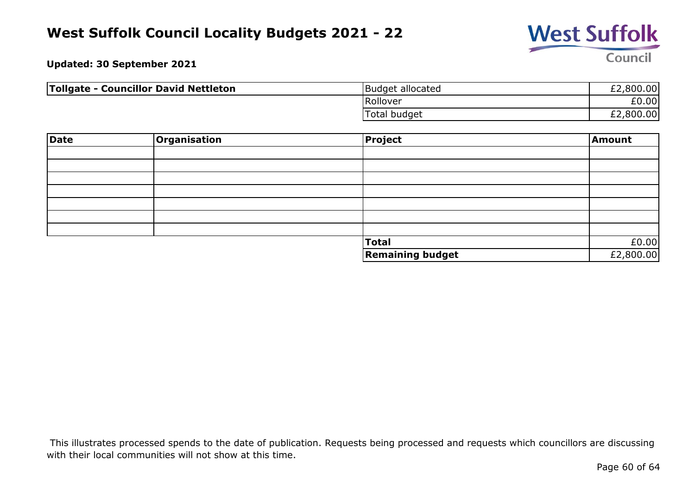

**Updated: 30 September 2021**

| Tollgate - Councillor David Nettleton | Budget allocated | £2,800.00 |
|---------------------------------------|------------------|-----------|
|                                       | Rollover         | £0.00     |
|                                       | Total budget     | £2,800.00 |

| Date | Organisation | Project                 | Amount    |
|------|--------------|-------------------------|-----------|
|      |              |                         |           |
|      |              |                         |           |
|      |              |                         |           |
|      |              |                         |           |
|      |              |                         |           |
|      |              |                         |           |
|      |              |                         |           |
|      |              | <b>Total</b>            | £0.00     |
|      |              | <b>Remaining budget</b> | £2,800.00 |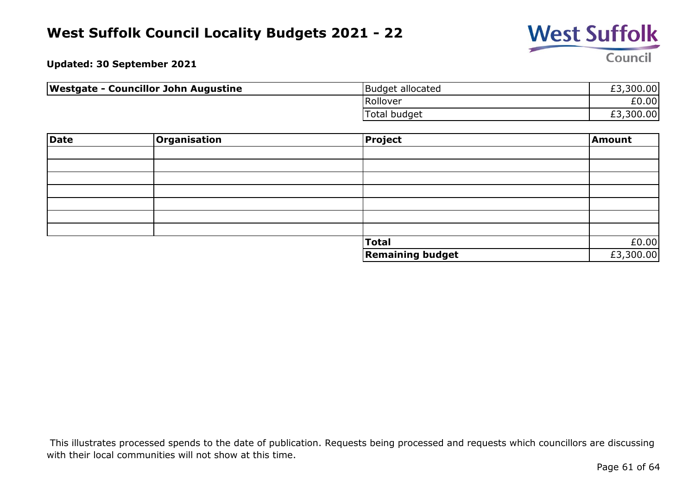

**Updated: 30 September 2021**

| <b>Westgate - Councillor John Augustine</b> | Budget allocated    | £3,300.00 |
|---------------------------------------------|---------------------|-----------|
|                                             | Rollover            | £0.00     |
|                                             | <b>Total budget</b> | £3,300.00 |

| Date | Organisation | Project                 | Amount    |
|------|--------------|-------------------------|-----------|
|      |              |                         |           |
|      |              |                         |           |
|      |              |                         |           |
|      |              |                         |           |
|      |              |                         |           |
|      |              |                         |           |
|      |              |                         |           |
|      |              | <b>Total</b>            | £0.00     |
|      |              | <b>Remaining budget</b> | £3,300.00 |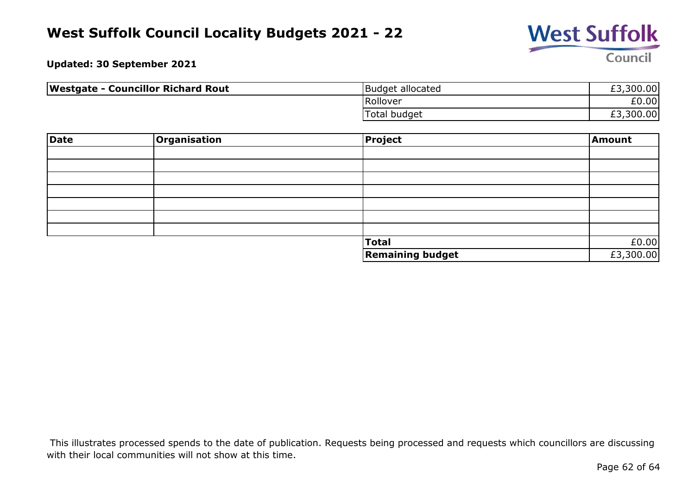

**Updated: 30 September 2021**

| <b>Westgate - Councillor Richard Rout</b> | Budget allocated | £3,300.00 |
|-------------------------------------------|------------------|-----------|
|                                           | Rollover         | £0.00     |
|                                           | Total budget     | £3,300.00 |

| Date | Organisation | Project                 | Amount    |
|------|--------------|-------------------------|-----------|
|      |              |                         |           |
|      |              |                         |           |
|      |              |                         |           |
|      |              |                         |           |
|      |              |                         |           |
|      |              |                         |           |
|      |              |                         |           |
|      |              | <b>Total</b>            | £0.00     |
|      |              | <b>Remaining budget</b> | £3,300.00 |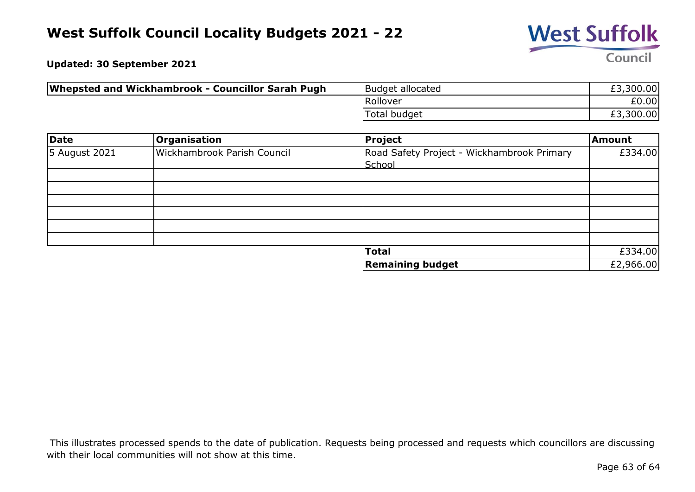

**Updated: 30 September 2021**

| Whepsted and Wickhambrook - Councillor Sarah Pugh | Budget allocated | £3,300.00 |
|---------------------------------------------------|------------------|-----------|
|                                                   | Rollover         | £0.00     |
|                                                   | Total budget     | £3,300.00 |

| <b>Date</b>   | <b>Organisation</b>         | <b>Project</b>                                       | Amount    |
|---------------|-----------------------------|------------------------------------------------------|-----------|
| 5 August 2021 | Wickhambrook Parish Council | Road Safety Project - Wickhambrook Primary<br>School | £334.00   |
|               |                             |                                                      |           |
|               |                             |                                                      |           |
|               |                             |                                                      |           |
|               |                             |                                                      |           |
|               |                             |                                                      |           |
|               |                             |                                                      |           |
|               |                             | <b>Total</b>                                         | £334.00   |
|               |                             | <b>Remaining budget</b>                              | £2,966.00 |